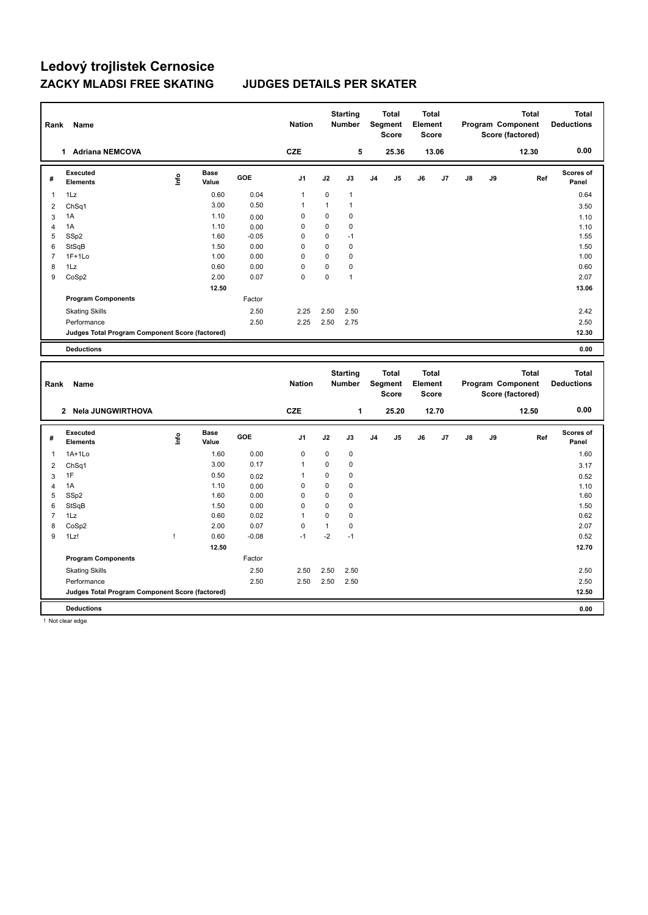| Rank           | Name                                                   |      |                      |         | <b>Nation</b>              |              | <b>Starting</b><br><b>Number</b> |                | <b>Total</b><br>Segment<br><b>Score</b> | <b>Total</b><br>Element<br><b>Score</b> |              |    |    | <b>Total</b><br>Program Component<br>Score (factored) | <b>Total</b><br><b>Deductions</b> |
|----------------|--------------------------------------------------------|------|----------------------|---------|----------------------------|--------------|----------------------------------|----------------|-----------------------------------------|-----------------------------------------|--------------|----|----|-------------------------------------------------------|-----------------------------------|
|                | 1 Adriana NEMCOVA                                      |      |                      |         | <b>CZE</b>                 |              | 5                                |                | 25.36                                   |                                         | 13.06        |    |    | 12.30                                                 | 0.00                              |
| #              | <b>Executed</b><br><b>Elements</b>                     | lnfo | <b>Base</b><br>Value | GOE     | J1                         | J2           | J3                               | J <sub>4</sub> | J5                                      | J6                                      | J7           | J8 | J9 | Ref                                                   | <b>Scores of</b><br>Panel         |
| $\mathbf{1}$   | 1Lz                                                    |      | 0.60                 | 0.04    | $\mathbf{1}$               | $\mathbf 0$  | $\mathbf{1}$                     |                |                                         |                                         |              |    |    |                                                       | 0.64                              |
| $\overline{2}$ | Ch <sub>Sq1</sub>                                      |      | 3.00                 | 0.50    | 1                          | $\mathbf{1}$ | $\mathbf{1}$                     |                |                                         |                                         |              |    |    |                                                       | 3.50                              |
| 3              | 1A                                                     |      | 1.10                 | 0.00    | 0                          | 0            | $\mathbf 0$                      |                |                                         |                                         |              |    |    |                                                       | 1.10                              |
| $\overline{4}$ | 1A                                                     |      | 1.10                 | 0.00    | $\mathbf 0$                | 0            | 0                                |                |                                         |                                         |              |    |    |                                                       | 1.10                              |
| 5              | SSp2                                                   |      | 1.60                 | $-0.05$ | 0                          | 0            | $-1$                             |                |                                         |                                         |              |    |    |                                                       | 1.55                              |
| 6              | StSqB                                                  |      | 1.50                 | 0.00    | $\mathbf 0$                | 0            | $\mathbf 0$                      |                |                                         |                                         |              |    |    |                                                       | 1.50                              |
| $\overline{7}$ | $1F+1Lo$                                               |      | 1.00                 | 0.00    | 0                          | 0            | $\mathbf 0$                      |                |                                         |                                         |              |    |    |                                                       | 1.00                              |
| 8<br>9         | 1Lz                                                    |      | 0.60                 | 0.00    | $\mathbf 0$<br>$\mathbf 0$ | 0<br>0       | $\mathbf 0$<br>$\mathbf{1}$      |                |                                         |                                         |              |    |    |                                                       | 0.60<br>2.07                      |
|                | CoSp2                                                  |      | 2.00                 | 0.07    |                            |              |                                  |                |                                         |                                         |              |    |    |                                                       |                                   |
|                |                                                        |      | 12.50                |         |                            |              |                                  |                |                                         |                                         |              |    |    |                                                       | 13.06                             |
|                | <b>Program Components</b>                              |      |                      | Factor  |                            |              |                                  |                |                                         |                                         |              |    |    |                                                       |                                   |
|                | <b>Skating Skills</b>                                  |      |                      | 2.50    | 2.25                       | 2.50         | 2.50                             |                |                                         |                                         |              |    |    |                                                       | 2.42                              |
|                | Performance                                            |      |                      | 2.50    | 2.25                       | 2.50         | 2.75                             |                |                                         |                                         |              |    |    |                                                       | 2.50                              |
|                | Judges Total Program Component Score (factored)        |      |                      |         |                            |              |                                  |                |                                         |                                         |              |    |    |                                                       | 12.30                             |
|                | <b>Deductions</b>                                      |      |                      |         |                            |              |                                  |                |                                         |                                         |              |    |    |                                                       | 0.00                              |
| Rank           | Name                                                   |      |                      |         | <b>Nation</b>              |              | <b>Starting</b><br>Number        |                | <b>Total</b><br>Segment<br><b>Score</b> | <b>Total</b><br>Element                 | <b>Score</b> |    |    | <b>Total</b><br>Program Component                     | <b>Total</b><br><b>Deductions</b> |
|                |                                                        |      |                      |         |                            |              |                                  |                |                                         |                                         |              |    |    | Score (factored)                                      |                                   |
|                | 2 Nela JUNGWIRTHOVA                                    |      |                      |         | <b>CZE</b>                 |              | 1                                |                | 25.20                                   |                                         | 12.70        |    |    | 12.50                                                 | 0.00                              |
| #              | <b>Executed</b><br><b>Elements</b>                     | Life | Base<br>Value        | GOE     | J <sub>1</sub>             | J2           | J3                               | J <sub>4</sub> | J5                                      | J6                                      | J7           | J8 | J9 | Ref                                                   | <b>Scores of</b><br>Panel         |
| $\mathbf{1}$   | $1A+1Lo$                                               |      | 1.60                 | 0.00    | $\mathbf 0$                | 0            | 0                                |                |                                         |                                         |              |    |    |                                                       | 1.60                              |
| $\overline{2}$ | ChSq1                                                  |      | 3.00                 | 0.17    | 1                          | 0            | $\mathbf 0$                      |                |                                         |                                         |              |    |    |                                                       | 3.17                              |
| 3              | 1F                                                     |      | 0.50                 | 0.02    | $\mathbf{1}$               | $\mathbf 0$  | $\mathbf 0$                      |                |                                         |                                         |              |    |    |                                                       | 0.52                              |
| $\overline{4}$ | 1A                                                     |      | 1.10                 | 0.00    | $\mathbf 0$                | $\mathbf 0$  | $\mathbf 0$                      |                |                                         |                                         |              |    |    |                                                       | 1.10                              |
| 5              | SSp2                                                   |      | 1.60                 | 0.00    | $\mathbf 0$                | 0            | $\mathbf 0$                      |                |                                         |                                         |              |    |    |                                                       | 1.60                              |
| 6              | StSqB                                                  |      | 1.50                 | 0.00    | $\mathbf 0$                | 0            | $\mathbf 0$                      |                |                                         |                                         |              |    |    |                                                       | 1.50                              |
| $\overline{7}$ | 1Lz                                                    |      | 0.60                 | 0.02    | 1                          | 0            | $\mathbf 0$                      |                |                                         |                                         |              |    |    |                                                       | 0.62                              |
| 8              | CoSp2                                                  |      | 2.00                 | 0.07    | 0                          | $\mathbf{1}$ | $\mathbf 0$                      |                |                                         |                                         |              |    |    |                                                       | 2.07                              |
| 9              | 1Lz!                                                   | Ţ    | 0.60                 | $-0.08$ | $-1$                       | $-2$         | $-1$                             |                |                                         |                                         |              |    |    |                                                       | 0.52                              |
|                |                                                        |      | 12.50                |         |                            |              |                                  |                |                                         |                                         |              |    |    |                                                       | 12.70                             |
|                | <b>Program Components</b>                              |      |                      | Factor  |                            |              |                                  |                |                                         |                                         |              |    |    |                                                       |                                   |
|                | <b>Skating Skills</b>                                  |      |                      | 2.50    | 2.50                       | 2.50         | 2.50                             |                |                                         |                                         |              |    |    |                                                       | 2.50                              |
|                | Performance                                            |      |                      | 2.50    | 2.50                       | 2.50         | 2.50                             |                |                                         |                                         |              |    |    |                                                       | 2.50                              |
|                | <b>Judges Total Program Component Score (factored)</b> |      |                      |         |                            |              |                                  |                |                                         |                                         |              |    |    |                                                       | 12.50                             |

! Not clear edge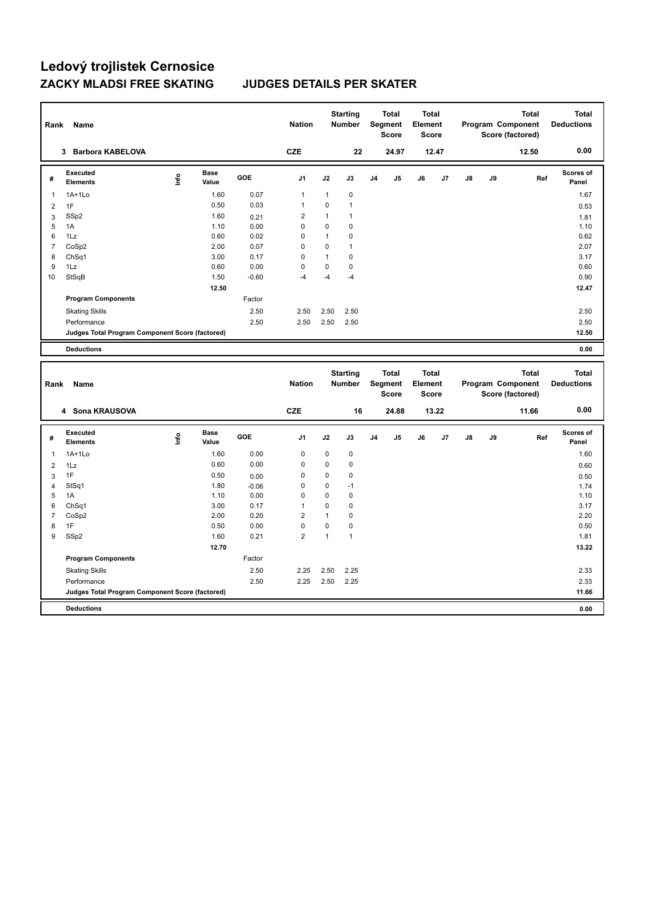| Rank           | Name                                            |      |                      |                 | <b>Nation</b>  |              | <b>Starting</b><br><b>Number</b> |                | <b>Total</b><br>Segment<br>Score        | <b>Total</b><br>Element<br><b>Score</b> |       |               |    | Program Component<br>Score (factored) | <b>Total</b> | <b>Total</b><br><b>Deductions</b> |
|----------------|-------------------------------------------------|------|----------------------|-----------------|----------------|--------------|----------------------------------|----------------|-----------------------------------------|-----------------------------------------|-------|---------------|----|---------------------------------------|--------------|-----------------------------------|
|                | 3 Barbora KABELOVA                              |      |                      |                 | <b>CZE</b>     |              | 22                               |                | 24.97                                   |                                         | 12.47 |               |    |                                       | 12.50        | 0.00                              |
| #              | <b>Executed</b><br><b>Elements</b>              | lnfo | <b>Base</b><br>Value | GOE             | J <sub>1</sub> | J2           | J3                               | J <sub>4</sub> | J5                                      | J6                                      | J7    | $\mathsf{J}8$ | J9 |                                       | Ref          | Scores of<br>Panel                |
| 1              | $1A+1Lo$                                        |      | 1.60                 | 0.07            | $\mathbf{1}$   | $\mathbf{1}$ | $\mathbf 0$                      |                |                                         |                                         |       |               |    |                                       |              | 1.67                              |
| $\overline{2}$ | 1F                                              |      | 0.50                 | 0.03            | 1              | 0            | $\overline{1}$                   |                |                                         |                                         |       |               |    |                                       |              | 0.53                              |
| 3              | SSp2                                            |      | 1.60                 | 0.21            | $\overline{c}$ | $\mathbf{1}$ | $\mathbf{1}$                     |                |                                         |                                         |       |               |    |                                       |              | 1.81                              |
| 5              | 1A                                              |      | 1.10                 | 0.00            | $\mathbf 0$    | 0            | $\mathbf 0$                      |                |                                         |                                         |       |               |    |                                       |              | 1.10                              |
| 6              | 1Lz                                             |      | 0.60                 | 0.02            | 0              | $\mathbf{1}$ | $\mathbf 0$                      |                |                                         |                                         |       |               |    |                                       |              | 0.62                              |
| $\overline{7}$ | CoSp2                                           |      | 2.00                 | 0.07            | $\mathbf 0$    | 0            | $\mathbf{1}$                     |                |                                         |                                         |       |               |    |                                       |              | 2.07                              |
| 8              | ChSq1                                           |      | 3.00                 | 0.17            | $\mathbf 0$    | $\mathbf{1}$ | $\mathbf 0$                      |                |                                         |                                         |       |               |    |                                       |              | 3.17                              |
| 9<br>10        | 1Lz                                             |      | 0.60                 | 0.00<br>$-0.60$ | 0<br>$-4$      | 0<br>$-4$    | $\pmb{0}$<br>$-4$                |                |                                         |                                         |       |               |    |                                       |              | 0.60                              |
|                | StSqB                                           |      | 1.50                 |                 |                |              |                                  |                |                                         |                                         |       |               |    |                                       |              | 0.90                              |
|                |                                                 |      | 12.50                |                 |                |              |                                  |                |                                         |                                         |       |               |    |                                       |              | 12.47                             |
|                | <b>Program Components</b>                       |      |                      | Factor          |                |              |                                  |                |                                         |                                         |       |               |    |                                       |              |                                   |
|                | <b>Skating Skills</b>                           |      |                      | 2.50            | 2.50           | 2.50         | 2.50                             |                |                                         |                                         |       |               |    |                                       |              | 2.50                              |
|                | Performance                                     |      |                      | 2.50            | 2.50           | 2.50         | 2.50                             |                |                                         |                                         |       |               |    |                                       |              | 2.50                              |
|                | Judges Total Program Component Score (factored) |      |                      |                 |                |              |                                  |                |                                         |                                         |       |               |    |                                       |              | 12.50                             |
|                | <b>Deductions</b>                               |      |                      |                 |                |              |                                  |                |                                         |                                         |       |               |    |                                       |              | 0.00                              |
|                |                                                 |      |                      |                 |                |              |                                  |                |                                         |                                         |       |               |    |                                       |              |                                   |
| Rank           | Name                                            |      |                      |                 | <b>Nation</b>  |              | <b>Starting</b><br>Number        |                | <b>Total</b><br>Segment<br><b>Score</b> | <b>Total</b><br>Element<br><b>Score</b> |       |               |    | Program Component<br>Score (factored) | <b>Total</b> | <b>Total</b><br><b>Deductions</b> |
|                | 4 Sona KRAUSOVA                                 |      |                      |                 | <b>CZE</b>     |              | 16                               |                | 24.88                                   |                                         | 13.22 |               |    |                                       | 11.66        | 0.00                              |
| #              | <b>Executed</b><br><b>Elements</b>              | ۴    | Base<br>Value        | GOE             | J <sub>1</sub> | J2           | J3                               | J4             | J5                                      | J6                                      | J7    | J8            | J9 |                                       | Ref          | Scores of<br>Panel                |
| $\mathbf{1}$   | $1A+1Lo$                                        |      | 1.60                 | 0.00            | $\mathbf 0$    | 0            | $\mathbf 0$                      |                |                                         |                                         |       |               |    |                                       |              | 1.60                              |
| $\overline{2}$ | 1Lz                                             |      | 0.60                 | 0.00            | 0              | 0            | $\mathbf 0$                      |                |                                         |                                         |       |               |    |                                       |              | 0.60                              |
| 3              | 1F                                              |      | 0.50                 | 0.00            | 0              | 0            | $\mathbf 0$                      |                |                                         |                                         |       |               |    |                                       |              | 0.50                              |
| $\overline{4}$ | StSq1                                           |      | 1.80                 | $-0.06$         | 0              | 0            | $-1$                             |                |                                         |                                         |       |               |    |                                       |              | 1.74                              |
| 5              | 1A                                              |      | 1.10                 | 0.00            | $\mathbf 0$    | 0            | $\mathbf 0$                      |                |                                         |                                         |       |               |    |                                       |              | 1.10                              |
| 6              | ChSq1                                           |      | 3.00                 | 0.17            | 1              | 0            | $\mathbf 0$                      |                |                                         |                                         |       |               |    |                                       |              | 3.17                              |
| $\overline{7}$ | CoSp2                                           |      | 2.00                 | 0.20            | $\overline{2}$ | $\mathbf{1}$ | $\pmb{0}$                        |                |                                         |                                         |       |               |    |                                       |              | 2.20                              |
| 8              | 1F                                              |      | 0.50                 | 0.00            | $\mathbf 0$    | 0            | $\pmb{0}$                        |                |                                         |                                         |       |               |    |                                       |              | 0.50                              |
| 9              | SSp2                                            |      | 1.60                 | 0.21            | $\overline{2}$ | $\mathbf{1}$ | $\mathbf{1}$                     |                |                                         |                                         |       |               |    |                                       |              | 1.81                              |
|                |                                                 |      | 12.70                |                 |                |              |                                  |                |                                         |                                         |       |               |    |                                       |              | 13.22                             |
|                | <b>Program Components</b>                       |      |                      | Factor          |                |              |                                  |                |                                         |                                         |       |               |    |                                       |              |                                   |
|                | <b>Skating Skills</b>                           |      |                      | 2.50            | 2.25           | 2.50         | 2.25                             |                |                                         |                                         |       |               |    |                                       |              | 2.33                              |
|                | Performance                                     |      |                      | 2.50            | 2.25           | 2.50         | 2.25                             |                |                                         |                                         |       |               |    |                                       |              | 2.33                              |
|                | Judges Total Program Component Score (factored) |      |                      |                 |                |              |                                  |                |                                         |                                         |       |               |    |                                       |              | 11.66                             |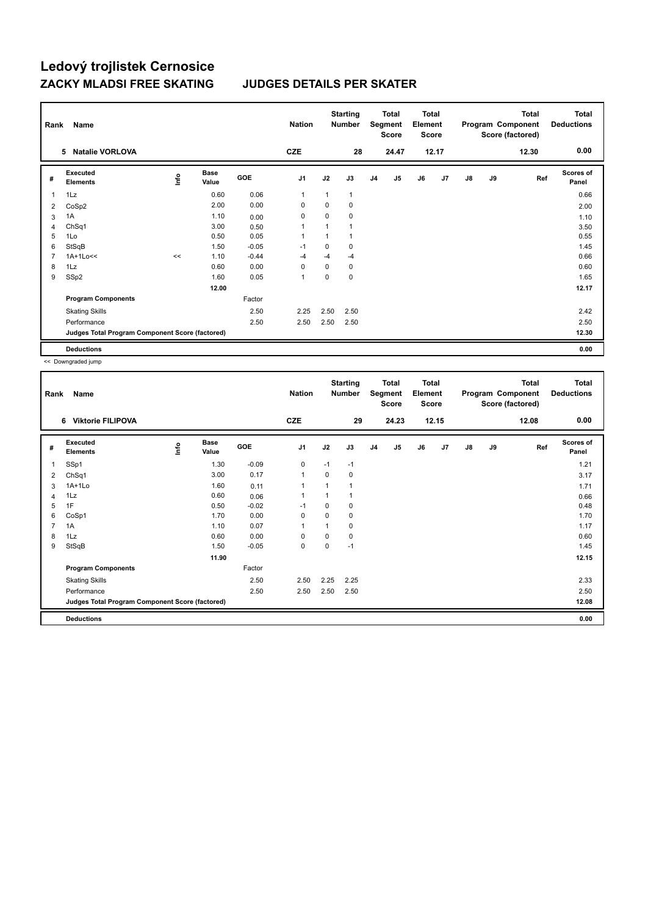| Rank | Name                                            |      |                      |         | <b>Nation</b>  |          | <b>Starting</b><br><b>Number</b> |                | <b>Total</b><br>Segment<br><b>Score</b> | <b>Total</b><br>Element<br><b>Score</b> |       |               |    | Total<br>Program Component<br>Score (factored) | <b>Total</b><br><b>Deductions</b> |
|------|-------------------------------------------------|------|----------------------|---------|----------------|----------|----------------------------------|----------------|-----------------------------------------|-----------------------------------------|-------|---------------|----|------------------------------------------------|-----------------------------------|
|      | <b>Natalie VORLOVA</b><br>5                     |      |                      |         | <b>CZE</b>     |          | 28                               |                | 24.47                                   |                                         | 12.17 |               |    | 12.30                                          | 0.00                              |
| #    | Executed<br><b>Elements</b>                     | lnfo | <b>Base</b><br>Value | GOE     | J <sub>1</sub> | J2       | J3                               | J <sub>4</sub> | J5                                      | J6                                      | J7    | $\mathsf{J}8$ | J9 | Ref                                            | <b>Scores of</b><br>Panel         |
| 1    | 1Lz                                             |      | 0.60                 | 0.06    | $\mathbf{1}$   |          | 1                                |                |                                         |                                         |       |               |    |                                                | 0.66                              |
| 2    | CoSp2                                           |      | 2.00                 | 0.00    | $\mathbf 0$    | $\Omega$ | 0                                |                |                                         |                                         |       |               |    |                                                | 2.00                              |
| 3    | 1A                                              |      | 1.10                 | 0.00    | 0              | 0        | 0                                |                |                                         |                                         |       |               |    |                                                | 1.10                              |
| 4    | ChSq1                                           |      | 3.00                 | 0.50    | 1              |          | 1                                |                |                                         |                                         |       |               |    |                                                | 3.50                              |
| 5    | 1Lo                                             |      | 0.50                 | 0.05    | 1              |          | 1                                |                |                                         |                                         |       |               |    |                                                | 0.55                              |
| 6    | StSqB                                           |      | 1.50                 | $-0.05$ | $-1$           | 0        | 0                                |                |                                         |                                         |       |               |    |                                                | 1.45                              |
| 7    | $1A+1Lo<<$                                      | <<   | 1.10                 | $-0.44$ | $-4$           | $-4$     | $-4$                             |                |                                         |                                         |       |               |    |                                                | 0.66                              |
| 8    | 1Lz                                             |      | 0.60                 | 0.00    | 0              | $\Omega$ | 0                                |                |                                         |                                         |       |               |    |                                                | 0.60                              |
| 9    | SSp2                                            |      | 1.60                 | 0.05    | $\mathbf{1}$   | 0        | 0                                |                |                                         |                                         |       |               |    |                                                | 1.65                              |
|      |                                                 |      | 12.00                |         |                |          |                                  |                |                                         |                                         |       |               |    |                                                | 12.17                             |
|      | <b>Program Components</b>                       |      |                      | Factor  |                |          |                                  |                |                                         |                                         |       |               |    |                                                |                                   |
|      | <b>Skating Skills</b>                           |      |                      | 2.50    | 2.25           | 2.50     | 2.50                             |                |                                         |                                         |       |               |    |                                                | 2.42                              |
|      | Performance                                     |      |                      | 2.50    | 2.50           | 2.50     | 2.50                             |                |                                         |                                         |       |               |    |                                                | 2.50                              |
|      | Judges Total Program Component Score (factored) |      |                      |         |                |          |                                  |                |                                         |                                         |       |               |    |                                                | 12.30                             |
|      | <b>Deductions</b>                               |      |                      |         |                |          |                                  |                |                                         |                                         |       |               |    |                                                | 0.00                              |

<< Downgraded jump

| Rank | Name                                            |      |                      |         | <b>Nation</b>  |              | <b>Starting</b><br><b>Number</b> |                | Total<br>Segment<br>Score | <b>Total</b><br>Element<br><b>Score</b> |       |               |    | <b>Total</b><br>Program Component<br>Score (factored) | <b>Total</b><br><b>Deductions</b> |
|------|-------------------------------------------------|------|----------------------|---------|----------------|--------------|----------------------------------|----------------|---------------------------|-----------------------------------------|-------|---------------|----|-------------------------------------------------------|-----------------------------------|
|      | 6 Viktorie FILIPOVA                             |      |                      |         | <b>CZE</b>     |              | 29                               |                | 24.23                     |                                         | 12.15 |               |    | 12.08                                                 | 0.00                              |
| #    | Executed<br><b>Elements</b>                     | Info | <b>Base</b><br>Value | GOE     | J <sub>1</sub> | J2           | J3                               | J <sub>4</sub> | J5                        | J6                                      | J7    | $\mathsf{J}8$ | J9 | Ref                                                   | <b>Scores of</b><br>Panel         |
| 1    | SSp1                                            |      | 1.30                 | $-0.09$ | $\mathbf 0$    | $-1$         | $-1$                             |                |                           |                                         |       |               |    |                                                       | 1.21                              |
| 2    | ChSq1                                           |      | 3.00                 | 0.17    | $\mathbf{1}$   | 0            | 0                                |                |                           |                                         |       |               |    |                                                       | 3.17                              |
| 3    | $1A+1Lo$                                        |      | 1.60                 | 0.11    | $\overline{1}$ | $\mathbf{1}$ | 1                                |                |                           |                                         |       |               |    |                                                       | 1.71                              |
| 4    | 1Lz                                             |      | 0.60                 | 0.06    | 1              | 1            | 1                                |                |                           |                                         |       |               |    |                                                       | 0.66                              |
| 5    | 1F                                              |      | 0.50                 | $-0.02$ | $-1$           | 0            | 0                                |                |                           |                                         |       |               |    |                                                       | 0.48                              |
| 6    | CoSp1                                           |      | 1.70                 | 0.00    | 0              | 0            | 0                                |                |                           |                                         |       |               |    |                                                       | 1.70                              |
| 7    | 1A                                              |      | 1.10                 | 0.07    | $\overline{1}$ | 1            | 0                                |                |                           |                                         |       |               |    |                                                       | 1.17                              |
| 8    | 1Lz                                             |      | 0.60                 | 0.00    | 0              | 0            | 0                                |                |                           |                                         |       |               |    |                                                       | 0.60                              |
| 9    | StSqB                                           |      | 1.50                 | $-0.05$ | $\mathbf 0$    | $\mathbf 0$  | $-1$                             |                |                           |                                         |       |               |    |                                                       | 1.45                              |
|      |                                                 |      | 11.90                |         |                |              |                                  |                |                           |                                         |       |               |    |                                                       | 12.15                             |
|      | <b>Program Components</b>                       |      |                      | Factor  |                |              |                                  |                |                           |                                         |       |               |    |                                                       |                                   |
|      | <b>Skating Skills</b>                           |      |                      | 2.50    | 2.50           | 2.25         | 2.25                             |                |                           |                                         |       |               |    |                                                       | 2.33                              |
|      | Performance                                     |      |                      | 2.50    | 2.50           | 2.50         | 2.50                             |                |                           |                                         |       |               |    |                                                       | 2.50                              |
|      | Judges Total Program Component Score (factored) |      |                      |         |                |              |                                  |                |                           |                                         |       |               |    |                                                       | 12.08                             |
|      | <b>Deductions</b>                               |      |                      |         |                |              |                                  |                |                           |                                         |       |               |    |                                                       | 0.00                              |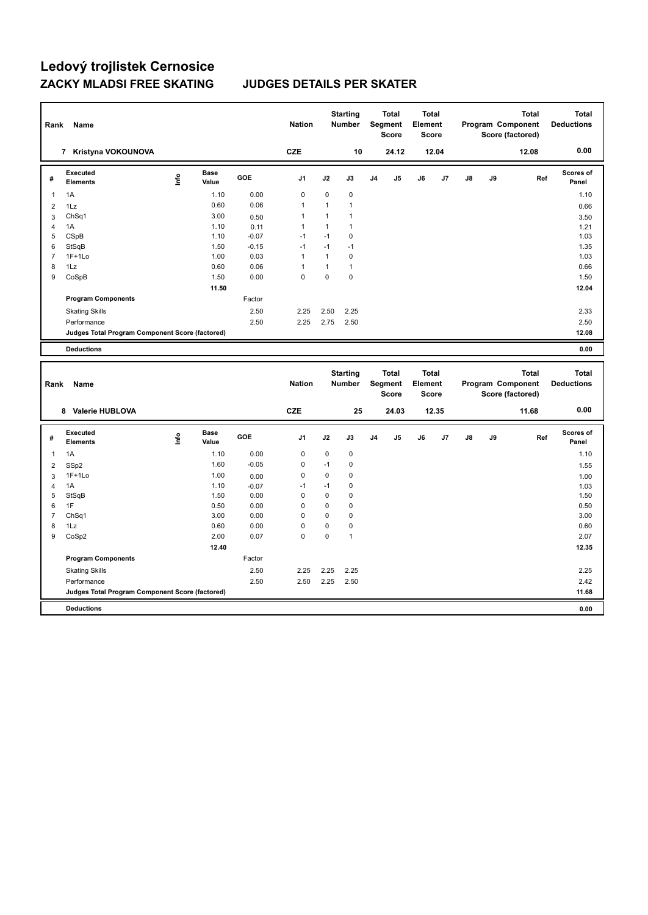| Rank           | Name                                            |       |                      |         | <b>Nation</b> |              | <b>Starting</b><br><b>Number</b> |                | <b>Total</b><br>Segment<br><b>Score</b> | <b>Total</b><br>Element<br><b>Score</b> |       |               |    | <b>Total</b><br>Program Component<br>Score (factored) | <b>Total</b><br><b>Deductions</b> |
|----------------|-------------------------------------------------|-------|----------------------|---------|---------------|--------------|----------------------------------|----------------|-----------------------------------------|-----------------------------------------|-------|---------------|----|-------------------------------------------------------|-----------------------------------|
|                | 7 Kristyna VOKOUNOVA                            |       |                      |         | <b>CZE</b>    |              | 10                               |                | 24.12                                   |                                         | 12.04 |               |    | 12.08                                                 | 0.00                              |
| #              | <b>Executed</b><br><b>Elements</b>              | Linfo | <b>Base</b><br>Value | GOE     | J1            | J2           | J3                               | J <sub>4</sub> | J5                                      | J6                                      | J7    | $\mathsf{J}8$ | J9 | Ref                                                   | <b>Scores of</b><br>Panel         |
| 1              | 1A                                              |       | 1.10                 | 0.00    | $\mathbf 0$   | $\mathbf 0$  | $\pmb{0}$                        |                |                                         |                                         |       |               |    |                                                       | 1.10                              |
| $\overline{2}$ | 1Lz                                             |       | 0.60                 | 0.06    | $\mathbf{1}$  | 1            | $\mathbf{1}$                     |                |                                         |                                         |       |               |    |                                                       | 0.66                              |
| 3              | Ch <sub>Sq1</sub>                               |       | 3.00                 | 0.50    | 1             | 1            | $\mathbf{1}$                     |                |                                         |                                         |       |               |    |                                                       | 3.50                              |
| $\overline{4}$ | 1A                                              |       | 1.10                 | 0.11    | 1             | $\mathbf{1}$ | $\mathbf{1}$                     |                |                                         |                                         |       |               |    |                                                       | 1.21                              |
| 5              | CSpB                                            |       | 1.10                 | $-0.07$ | $-1$          | $-1$         | $\mathbf 0$                      |                |                                         |                                         |       |               |    |                                                       | 1.03                              |
| 6              | StSqB                                           |       | 1.50                 | $-0.15$ | $-1$          | $-1$         | $-1$                             |                |                                         |                                         |       |               |    |                                                       | 1.35                              |
| $\overline{7}$ | $1F+1Lo$                                        |       | 1.00                 | 0.03    | $\mathbf{1}$  | $\mathbf{1}$ | $\pmb{0}$                        |                |                                         |                                         |       |               |    |                                                       | 1.03                              |
| 8              | 1Lz                                             |       | 0.60                 | 0.06    | $\mathbf{1}$  | 1            | $\mathbf{1}$                     |                |                                         |                                         |       |               |    |                                                       | 0.66                              |
| 9              | CoSpB                                           |       | 1.50                 | 0.00    | $\mathbf 0$   | $\mathbf 0$  | $\mathbf 0$                      |                |                                         |                                         |       |               |    |                                                       | 1.50                              |
|                |                                                 |       | 11.50                |         |               |              |                                  |                |                                         |                                         |       |               |    |                                                       | 12.04                             |
|                | <b>Program Components</b>                       |       |                      | Factor  |               |              |                                  |                |                                         |                                         |       |               |    |                                                       |                                   |
|                | <b>Skating Skills</b>                           |       |                      | 2.50    | 2.25          | 2.50         | 2.25                             |                |                                         |                                         |       |               |    |                                                       | 2.33                              |
|                | Performance                                     |       |                      | 2.50    | 2.25          | 2.75         | 2.50                             |                |                                         |                                         |       |               |    |                                                       | 2.50                              |
|                | Judges Total Program Component Score (factored) |       |                      |         |               |              |                                  |                |                                         |                                         |       |               |    |                                                       | 12.08                             |
|                | <b>Deductions</b>                               |       |                      |         |               |              |                                  |                |                                         |                                         |       |               |    |                                                       | 0.00                              |
| Rank           | Name                                            |       |                      |         | <b>Nation</b> |              | <b>Starting</b><br>Number        |                | <b>Total</b><br>Segment<br><b>Score</b> | <b>Total</b><br>Element<br><b>Score</b> |       |               |    | <b>Total</b><br>Program Component<br>Score (factored) | <b>Total</b><br><b>Deductions</b> |
|                | 8 Valerie HUBLOVA                               |       |                      |         | <b>CZE</b>    |              | 25                               |                | 24.03                                   |                                         | 12.35 |               |    | 11.68                                                 | 0.00                              |
| #              | <b>Executed</b><br><b>Elements</b>              | ۴     | Base<br>Value        | GOE     | J1            | J2           | J3                               | J <sub>4</sub> | J5                                      | J6                                      | J7    | J8            | J9 | Ref                                                   | <b>Scores of</b><br>Panel         |
| $\mathbf{1}$   | 1A                                              |       | 1.10                 | 0.00    | $\mathbf 0$   | $\mathbf 0$  | $\mathbf 0$                      |                |                                         |                                         |       |               |    |                                                       | 1.10                              |
| $\overline{2}$ | SSp2                                            |       | 1.60                 | $-0.05$ | $\mathbf 0$   | $-1$         | 0                                |                |                                         |                                         |       |               |    |                                                       | 1.55                              |
| 3              | $1F+1Lo$                                        |       | 1.00                 | 0.00    | $\mathbf 0$   | $\mathbf 0$  | $\mathbf 0$                      |                |                                         |                                         |       |               |    |                                                       | 1.00                              |
| 4              | 1A                                              |       | 1.10                 | $-0.07$ | $-1$          | $-1$         | 0                                |                |                                         |                                         |       |               |    |                                                       | 1.03                              |
| 5              | StSqB                                           |       | 1.50                 | 0.00    | $\mathbf 0$   | $\mathbf 0$  | 0                                |                |                                         |                                         |       |               |    |                                                       | 1.50                              |
| 6              | 1F                                              |       | 0.50                 | 0.00    | $\mathbf 0$   | $\mathbf 0$  | $\mathbf 0$                      |                |                                         |                                         |       |               |    |                                                       | 0.50                              |
| $\overline{7}$ | Ch <sub>Sq1</sub>                               |       | 3.00                 | 0.00    | $\mathbf 0$   | $\mathbf 0$  | $\pmb{0}$                        |                |                                         |                                         |       |               |    |                                                       | 3.00                              |
| 8              | 1Lz                                             |       | 0.60                 | 0.00    | $\mathbf 0$   | $\mathbf 0$  | $\pmb{0}$                        |                |                                         |                                         |       |               |    |                                                       | 0.60                              |
| 9              | CoSp2                                           |       | 2.00                 | 0.07    | $\Omega$      | $\mathbf 0$  | $\overline{1}$                   |                |                                         |                                         |       |               |    |                                                       | 2.07                              |
|                |                                                 |       | 12.40                |         |               |              |                                  |                |                                         |                                         |       |               |    |                                                       | 12.35                             |
|                | <b>Program Components</b>                       |       |                      |         |               |              |                                  |                |                                         |                                         |       |               |    |                                                       |                                   |
|                |                                                 |       |                      | Factor  |               |              |                                  |                |                                         |                                         |       |               |    |                                                       |                                   |
|                | <b>Skating Skills</b>                           |       |                      | 2.50    | 2.25          | 2.25         | 2.25                             |                |                                         |                                         |       |               |    |                                                       | 2.25                              |
|                | Performance                                     |       |                      | 2.50    | 2.50          | 2.25         | 2.50                             |                |                                         |                                         |       |               |    |                                                       | 2.42                              |
|                | Judges Total Program Component Score (factored) |       |                      |         |               |              |                                  |                |                                         |                                         |       |               |    |                                                       | 11.68                             |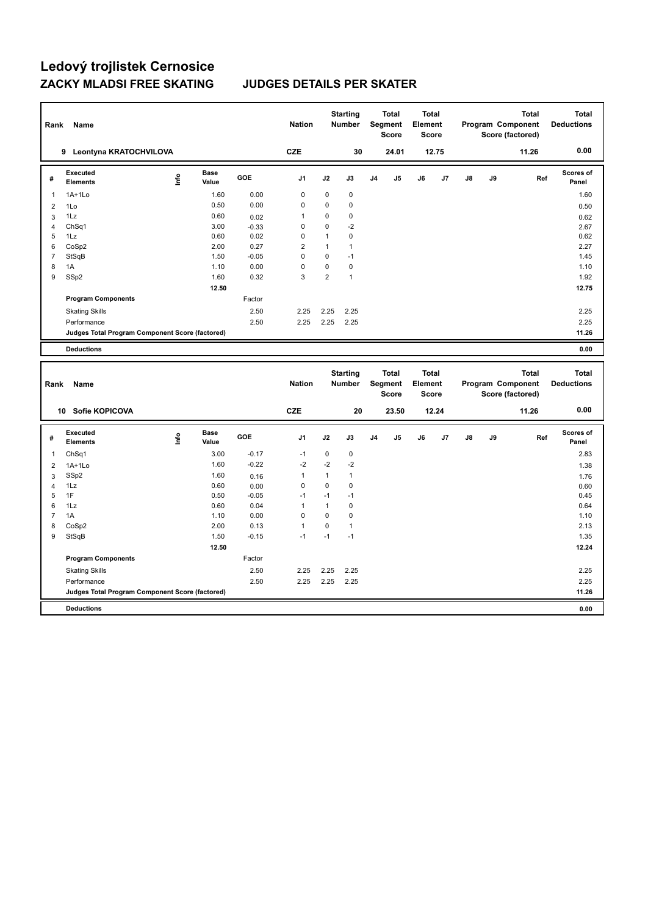| Rank           | Name                                            |      |                      |              | <b>Nation</b>    |                     | <b>Starting</b><br><b>Number</b> |    | <b>Total</b><br>Segment<br><b>Score</b> | <b>Total</b><br>Element<br><b>Score</b> |       |    | Program Component | Score (factored) | <b>Total</b> | <b>Total</b><br><b>Deductions</b> |
|----------------|-------------------------------------------------|------|----------------------|--------------|------------------|---------------------|----------------------------------|----|-----------------------------------------|-----------------------------------------|-------|----|-------------------|------------------|--------------|-----------------------------------|
|                | 9 Leontyna KRATOCHVILOVA                        |      |                      |              | CZE              |                     | 30                               |    | 24.01                                   |                                         | 12.75 |    |                   |                  | 11.26        | 0.00                              |
| #              | Executed<br><b>Elements</b>                     | lnfo | Base<br>Value        | GOE          | J <sub>1</sub>   | J2                  | J3                               | J4 | J5                                      | J6                                      | J7    | J8 | J9                |                  | Ref          | Scores of<br>Panel                |
| 1              | $1A+1Lo$                                        |      | 1.60                 | 0.00         | $\mathbf 0$      | 0                   | $\mathbf 0$                      |    |                                         |                                         |       |    |                   |                  |              | 1.60                              |
| $\overline{2}$ | 1Lo                                             |      | 0.50                 | 0.00         | $\mathbf 0$      | 0                   | 0                                |    |                                         |                                         |       |    |                   |                  |              | 0.50                              |
| 3              | 1Lz                                             |      | 0.60                 | 0.02         | 1                | 0                   | $\mathbf 0$                      |    |                                         |                                         |       |    |                   |                  |              | 0.62                              |
| 4              | ChSq1                                           |      | 3.00                 | $-0.33$      | 0                | $\Omega$            | -2                               |    |                                         |                                         |       |    |                   |                  |              | 2.67                              |
| 5              | 1Lz                                             |      | 0.60                 | 0.02         | $\mathbf 0$      | $\mathbf{1}$        | 0                                |    |                                         |                                         |       |    |                   |                  |              | 0.62                              |
| 6              | CoSp2                                           |      | 2.00                 | 0.27         | $\overline{2}$   | $\mathbf{1}$        | $\mathbf{1}$                     |    |                                         |                                         |       |    |                   |                  |              | 2.27                              |
| $\overline{7}$ | StSqB                                           |      | 1.50                 | $-0.05$      | $\mathbf 0$      | 0                   | $-1$                             |    |                                         |                                         |       |    |                   |                  |              | 1.45                              |
| 8<br>9         | 1A                                              |      | 1.10<br>1.60         | 0.00<br>0.32 | $\mathbf 0$<br>3 | 0<br>$\overline{2}$ | $\pmb{0}$<br>$\mathbf{1}$        |    |                                         |                                         |       |    |                   |                  |              | 1.10<br>1.92                      |
|                | SSp2                                            |      |                      |              |                  |                     |                                  |    |                                         |                                         |       |    |                   |                  |              |                                   |
|                |                                                 |      | 12.50                |              |                  |                     |                                  |    |                                         |                                         |       |    |                   |                  |              | 12.75                             |
|                | <b>Program Components</b>                       |      |                      | Factor       |                  |                     |                                  |    |                                         |                                         |       |    |                   |                  |              |                                   |
|                | <b>Skating Skills</b>                           |      |                      | 2.50         | 2.25             | 2.25                | 2.25                             |    |                                         |                                         |       |    |                   |                  |              | 2.25                              |
|                | Performance                                     |      |                      | 2.50         | 2.25             | 2.25                | 2.25                             |    |                                         |                                         |       |    |                   |                  |              | 2.25                              |
|                | Judges Total Program Component Score (factored) |      |                      |              |                  |                     |                                  |    |                                         |                                         |       |    |                   |                  |              | 11.26                             |
|                | <b>Deductions</b>                               |      |                      |              |                  |                     |                                  |    |                                         |                                         |       |    |                   |                  |              | 0.00                              |
|                |                                                 |      |                      |              |                  |                     |                                  |    |                                         |                                         |       |    |                   |                  |              |                                   |
| Rank           | Name                                            |      |                      |              | <b>Nation</b>    |                     | <b>Starting</b><br>Number        |    | <b>Total</b><br>Segment<br><b>Score</b> | <b>Total</b><br>Element<br><b>Score</b> |       |    | Program Component | Score (factored) | <b>Total</b> | <b>Total</b><br><b>Deductions</b> |
|                | 10 Sofie KOPICOVA                               |      |                      |              | <b>CZE</b>       |                     | 20                               |    | 23.50                                   |                                         | 12.24 |    |                   |                  | 11.26        | 0.00                              |
| #              | Executed<br><b>Elements</b>                     | lnfo | <b>Base</b><br>Value | GOE          | J1               | J2                  | J3                               | J4 | J5                                      | J6                                      | J7    | J8 | J9                |                  | Ref          | Scores of<br>Panel                |
| $\mathbf{1}$   | ChSq1                                           |      | 3.00                 | $-0.17$      | $-1$             | $\pmb{0}$           | 0                                |    |                                         |                                         |       |    |                   |                  |              | 2.83                              |
| 2              | $1A+1L0$                                        |      | 1.60                 | $-0.22$      | $-2$             | $-2$                | $-2$                             |    |                                         |                                         |       |    |                   |                  |              | 1.38                              |
| 3              | SSp2                                            |      | 1.60                 | 0.16         | 1                | $\mathbf{1}$        | $\mathbf{1}$                     |    |                                         |                                         |       |    |                   |                  |              | 1.76                              |
| $\overline{4}$ | 1Lz                                             |      | 0.60                 | 0.00         | $\mathbf 0$      | 0                   | $\mathbf 0$                      |    |                                         |                                         |       |    |                   |                  |              | 0.60                              |
| 5              | 1F                                              |      | 0.50                 | $-0.05$      | $-1$             | $-1$                | $-1$                             |    |                                         |                                         |       |    |                   |                  |              | 0.45                              |
| 6              | 1Lz                                             |      | 0.60                 | 0.04         | 1                | $\mathbf{1}$        | 0                                |    |                                         |                                         |       |    |                   |                  |              | 0.64                              |
| $\overline{7}$ | 1A                                              |      | 1.10                 | 0.00         | $\Omega$         | $\Omega$            | $\mathbf 0$                      |    |                                         |                                         |       |    |                   |                  |              | 1.10                              |
| 8              | CoSp2                                           |      | 2.00                 | 0.13         | $\mathbf{1}$     | 0                   | $\mathbf{1}$                     |    |                                         |                                         |       |    |                   |                  |              | 2.13                              |
| 9              | StSqB                                           |      | 1.50                 | $-0.15$      | $-1$             | $-1$                | $-1$                             |    |                                         |                                         |       |    |                   |                  |              | 1.35                              |
|                |                                                 |      | 12.50                |              |                  |                     |                                  |    |                                         |                                         |       |    |                   |                  |              | 12.24                             |
|                | <b>Program Components</b>                       |      |                      | Factor       |                  |                     |                                  |    |                                         |                                         |       |    |                   |                  |              |                                   |
|                | <b>Skating Skills</b>                           |      |                      | 2.50         | 2.25             | 2.25                | 2.25                             |    |                                         |                                         |       |    |                   |                  |              | 2.25                              |
|                | Performance                                     |      |                      | 2.50         | 2.25             | 2.25                | 2.25                             |    |                                         |                                         |       |    |                   |                  |              | 2.25                              |
|                | Judges Total Program Component Score (factored) |      |                      |              |                  |                     |                                  |    |                                         |                                         |       |    |                   |                  |              | 11.26                             |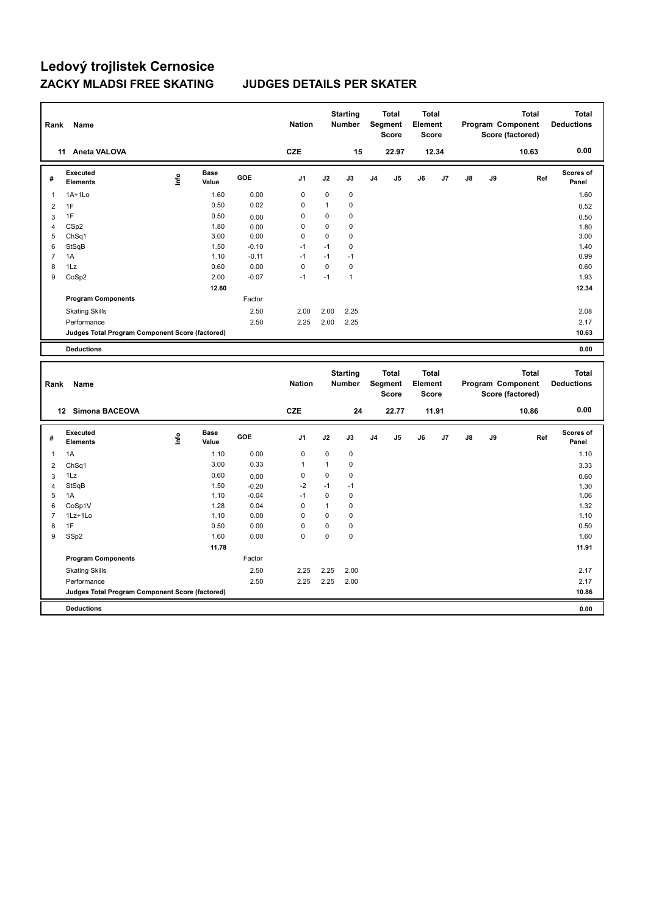| Rank             | Name                                            |       |                      |         | <b>Nation</b>       |              | <b>Starting</b><br>Number |                | <b>Total</b><br>Segment<br><b>Score</b> | <b>Total</b><br>Element<br><b>Score</b> |       |               |    | Program Component<br>Score (factored) | Total        | <b>Total</b><br><b>Deductions</b> |
|------------------|-------------------------------------------------|-------|----------------------|---------|---------------------|--------------|---------------------------|----------------|-----------------------------------------|-----------------------------------------|-------|---------------|----|---------------------------------------|--------------|-----------------------------------|
|                  | 11 Aneta VALOVA                                 |       |                      |         | <b>CZE</b>          |              | 15                        |                | 22.97                                   |                                         | 12.34 |               |    | 10.63                                 |              | 0.00                              |
| #                | <b>Executed</b><br><b>Elements</b>              | Linfo | <b>Base</b><br>Value | GOE     | J1                  | J2           | J3                        | J <sub>4</sub> | J5                                      | J6                                      | J7    | $\mathsf{J}8$ | J9 |                                       | Ref          | <b>Scores of</b><br>Panel         |
| 1                | $1A+1Lo$                                        |       | 1.60                 | 0.00    | $\mathbf 0$         | $\mathbf 0$  | $\mathbf 0$               |                |                                         |                                         |       |               |    |                                       |              | 1.60                              |
| $\overline{2}$   | 1F                                              |       | 0.50                 | 0.02    | 0                   | $\mathbf{1}$ | 0                         |                |                                         |                                         |       |               |    |                                       |              | 0.52                              |
| 3                | 1F                                              |       | 0.50                 | 0.00    | $\mathbf 0$         | $\mathbf 0$  | $\mathbf 0$               |                |                                         |                                         |       |               |    |                                       |              | 0.50                              |
| $\overline{4}$   | CS <sub>p2</sub>                                |       | 1.80                 | 0.00    | $\Omega$            | $\mathbf 0$  | $\mathbf 0$               |                |                                         |                                         |       |               |    |                                       |              | 1.80                              |
| 5                | ChSq1                                           |       | 3.00                 | 0.00    | $\mathbf 0$         | $\mathbf 0$  | 0                         |                |                                         |                                         |       |               |    |                                       |              | 3.00                              |
| 6                | StSqB                                           |       | 1.50                 | $-0.10$ | $-1$                | $-1$         | $\mathbf 0$               |                |                                         |                                         |       |               |    |                                       |              | 1.40                              |
| $\overline{7}$   | 1A                                              |       | 1.10                 | $-0.11$ | $-1$                | $-1$         | $-1$                      |                |                                         |                                         |       |               |    |                                       |              | 0.99                              |
| 8                | 1Lz                                             |       | 0.60                 | 0.00    | $\mathbf 0$<br>$-1$ | $\mathbf 0$  | $\pmb{0}$                 |                |                                         |                                         |       |               |    |                                       |              | 0.60                              |
| 9                | CoSp2                                           |       | 2.00                 | $-0.07$ |                     | $-1$         | $\overline{1}$            |                |                                         |                                         |       |               |    |                                       |              | 1.93                              |
|                  |                                                 |       | 12.60                |         |                     |              |                           |                |                                         |                                         |       |               |    |                                       |              | 12.34                             |
|                  | <b>Program Components</b>                       |       |                      | Factor  |                     |              |                           |                |                                         |                                         |       |               |    |                                       |              |                                   |
|                  | <b>Skating Skills</b>                           |       |                      | 2.50    | 2.00                | 2.00         | 2.25                      |                |                                         |                                         |       |               |    |                                       |              | 2.08                              |
|                  | Performance                                     |       |                      | 2.50    | 2.25                | 2.00         | 2.25                      |                |                                         |                                         |       |               |    |                                       |              | 2.17                              |
|                  | Judges Total Program Component Score (factored) |       |                      |         |                     |              |                           |                |                                         |                                         |       |               |    |                                       |              | 10.63                             |
|                  | <b>Deductions</b>                               |       |                      |         |                     |              |                           |                |                                         |                                         |       |               |    |                                       |              | 0.00                              |
|                  |                                                 |       |                      |         |                     |              |                           |                |                                         |                                         |       |               |    |                                       |              |                                   |
| Rank             | Name                                            |       |                      |         | <b>Nation</b>       |              | <b>Starting</b><br>Number |                | <b>Total</b><br>Segment<br><b>Score</b> | <b>Total</b><br>Element<br><b>Score</b> |       |               |    | Program Component<br>Score (factored) | <b>Total</b> | <b>Total</b><br><b>Deductions</b> |
|                  | 12 Simona BACEOVA                               |       |                      |         | <b>CZE</b>          |              | 24                        |                | 22.77                                   |                                         | 11.91 |               |    | 10.86                                 |              | 0.00                              |
| #                | <b>Executed</b><br><b>Elements</b>              | ۴     | <b>Base</b><br>Value | GOE     | J1                  | J2           | J3                        | J <sub>4</sub> | J5                                      | J6                                      | J7    | J8            | J9 |                                       | Ref          | <b>Scores of</b><br>Panel         |
| $\mathbf{1}$     | 1A                                              |       | 1.10                 | 0.00    | $\mathbf 0$         | $\mathbf 0$  | $\pmb{0}$                 |                |                                         |                                         |       |               |    |                                       |              | 1.10                              |
| $\overline{2}$   | Ch <sub>Sq1</sub>                               |       | 3.00                 | 0.33    | 1                   | $\mathbf{1}$ | $\mathbf 0$               |                |                                         |                                         |       |               |    |                                       |              | 3.33                              |
| 3                | 1Lz                                             |       | 0.60                 | 0.00    | $\mathbf 0$         | $\mathbf 0$  | 0                         |                |                                         |                                         |       |               |    |                                       |              | 0.60                              |
| $\overline{4}$   | StSqB                                           |       | 1.50                 | $-0.20$ | $-2$                | $-1$         | $-1$                      |                |                                         |                                         |       |               |    |                                       |              | 1.30                              |
| 5                | 1A                                              |       | 1.10                 | $-0.04$ | $-1$                | $\mathbf 0$  | $\mathbf 0$               |                |                                         |                                         |       |               |    |                                       |              | 1.06                              |
| 6                | CoSp1V                                          |       | 1.28                 | 0.04    | $\mathbf 0$         | $\mathbf{1}$ | $\pmb{0}$                 |                |                                         |                                         |       |               |    |                                       |              | 1.32                              |
| $\overline{7}$   | 1Lz+1Lo                                         |       | 1.10                 | 0.00    | $\mathbf 0$         | $\mathbf 0$  | $\mathbf 0$               |                |                                         |                                         |       |               |    |                                       |              | 1.10                              |
| 8                | 1F                                              |       | 0.50                 | 0.00    | 0                   | $\mathbf 0$  | $\mathbf 0$               |                |                                         |                                         |       |               |    |                                       |              | 0.50                              |
| $\boldsymbol{9}$ | SSp2                                            |       | 1.60                 | 0.00    | $\mathbf 0$         | $\mathbf 0$  | $\pmb{0}$                 |                |                                         |                                         |       |               |    |                                       |              | 1.60                              |
|                  |                                                 |       | 11.78                |         |                     |              |                           |                |                                         |                                         |       |               |    |                                       |              | 11.91                             |
|                  | <b>Program Components</b>                       |       |                      | Factor  |                     |              |                           |                |                                         |                                         |       |               |    |                                       |              |                                   |
|                  | <b>Skating Skills</b>                           |       |                      | 2.50    | 2.25                | 2.25         | 2.00                      |                |                                         |                                         |       |               |    |                                       |              | 2.17                              |
|                  | Performance                                     |       |                      | 2.50    | 2.25                | 2.25         | 2.00                      |                |                                         |                                         |       |               |    |                                       |              | 2.17                              |
|                  | Judges Total Program Component Score (factored) |       |                      |         |                     |              |                           |                |                                         |                                         |       |               |    |                                       |              | 10.86                             |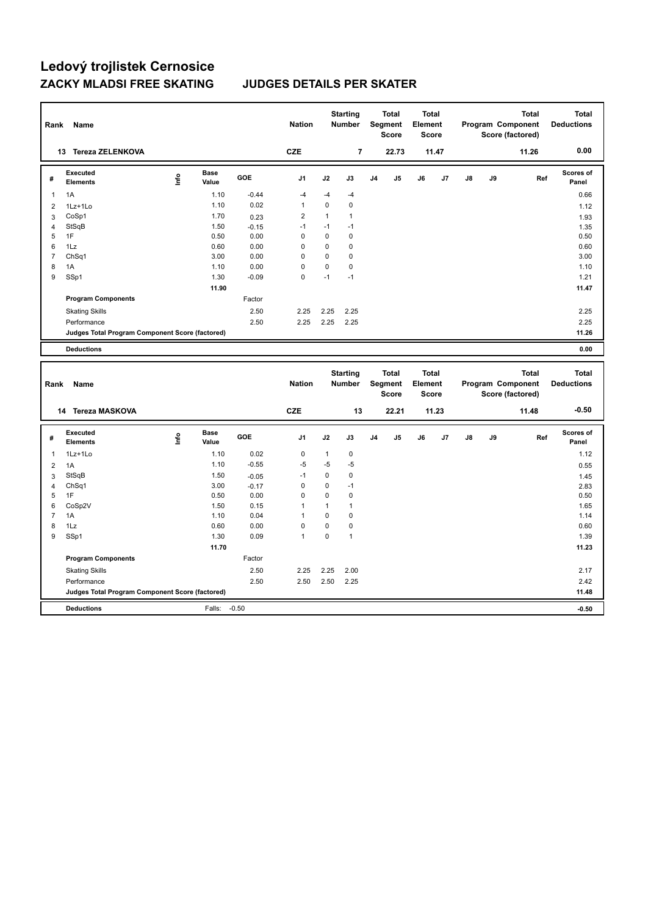| Rank           | Name                                            |       |                      |         | <b>Nation</b>  |              | <b>Starting</b><br>Number |                | <b>Total</b><br>Segment<br>Score | <b>Total</b><br>Element<br><b>Score</b> |       |               |    | Total<br>Program Component<br>Score (factored) | <b>Total</b><br><b>Deductions</b> |
|----------------|-------------------------------------------------|-------|----------------------|---------|----------------|--------------|---------------------------|----------------|----------------------------------|-----------------------------------------|-------|---------------|----|------------------------------------------------|-----------------------------------|
|                | 13 Tereza ZELENKOVA                             |       |                      |         | <b>CZE</b>     |              | $\overline{\mathbf{r}}$   |                | 22.73                            |                                         | 11.47 |               |    | 11.26                                          | 0.00                              |
| #              | <b>Executed</b><br><b>Elements</b>              | Linfo | <b>Base</b><br>Value | GOE     | J1             | J2           | J3                        | J <sub>4</sub> | J5                               | J6                                      | J7    | $\mathsf{J}8$ | J9 | Ref                                            | <b>Scores of</b><br>Panel         |
| 1              | 1A                                              |       | 1.10                 | $-0.44$ | $-4$           | $-4$         | -4                        |                |                                  |                                         |       |               |    |                                                | 0.66                              |
| $\overline{2}$ | 1Lz+1Lo                                         |       | 1.10                 | 0.02    | $\mathbf{1}$   | $\mathbf 0$  | $\pmb{0}$                 |                |                                  |                                         |       |               |    |                                                | 1.12                              |
| 3              | CoSp1                                           |       | 1.70                 | 0.23    | $\overline{c}$ | $\mathbf{1}$ | $\mathbf{1}$              |                |                                  |                                         |       |               |    |                                                | 1.93                              |
| $\overline{4}$ | StSqB                                           |       | 1.50                 | $-0.15$ | $-1$           | $-1$         | $-1$                      |                |                                  |                                         |       |               |    |                                                | 1.35                              |
| 5              | 1F                                              |       | 0.50                 | 0.00    | $\mathbf 0$    | $\mathbf 0$  | $\mathbf 0$               |                |                                  |                                         |       |               |    |                                                | 0.50                              |
| 6              | 1Lz                                             |       | 0.60                 | 0.00    | $\mathbf 0$    | $\mathbf 0$  | $\mathbf 0$               |                |                                  |                                         |       |               |    |                                                | 0.60                              |
| $\overline{7}$ | ChSq1                                           |       | 3.00                 | 0.00    | 0              | $\mathbf 0$  | $\mathbf 0$               |                |                                  |                                         |       |               |    |                                                | 3.00                              |
| 8              | 1A                                              |       | 1.10                 | 0.00    | $\mathbf 0$    | $\mathbf 0$  | $\pmb{0}$                 |                |                                  |                                         |       |               |    |                                                | 1.10                              |
| 9              | SSp1                                            |       | 1.30                 | $-0.09$ | $\Omega$       | $-1$         | $-1$                      |                |                                  |                                         |       |               |    |                                                | 1.21                              |
|                |                                                 |       | 11.90                |         |                |              |                           |                |                                  |                                         |       |               |    |                                                | 11.47                             |
|                | <b>Program Components</b>                       |       |                      | Factor  |                |              |                           |                |                                  |                                         |       |               |    |                                                |                                   |
|                | <b>Skating Skills</b>                           |       |                      | 2.50    | 2.25           | 2.25         | 2.25                      |                |                                  |                                         |       |               |    |                                                | 2.25                              |
|                | Performance                                     |       |                      | 2.50    | 2.25           | 2.25         | 2.25                      |                |                                  |                                         |       |               |    |                                                | 2.25                              |
|                | Judges Total Program Component Score (factored) |       |                      |         |                |              |                           |                |                                  |                                         |       |               |    |                                                | 11.26                             |
|                | <b>Deductions</b>                               |       |                      |         |                |              |                           |                |                                  |                                         |       |               |    |                                                | 0.00                              |
| Rank           | Name                                            |       |                      |         | <b>Nation</b>  |              | <b>Starting</b><br>Number |                | <b>Total</b><br>Segment          | <b>Total</b><br>Element                 |       |               |    | <b>Total</b>                                   | <b>Total</b><br><b>Deductions</b> |
|                |                                                 |       |                      |         |                |              |                           |                | <b>Score</b>                     | <b>Score</b>                            |       |               |    | Program Component<br>Score (factored)          |                                   |
|                | 14 Tereza MASKOVA                               |       |                      |         | <b>CZE</b>     |              | 13                        |                | 22.21                            |                                         | 11.23 |               |    | 11.48                                          | $-0.50$                           |
| #              | <b>Executed</b><br><b>Elements</b>              | ۴     | <b>Base</b><br>Value | GOE     | J1             | J2           | J3                        | J <sub>4</sub> | J5                               | J6                                      | J7    | J8            | J9 | Ref                                            | <b>Scores of</b><br>Panel         |
| $\mathbf{1}$   | 1Lz+1Lo                                         |       | 1.10                 | 0.02    | $\mathbf 0$    | $\mathbf{1}$ | $\pmb{0}$                 |                |                                  |                                         |       |               |    |                                                | 1.12                              |
| $\overline{2}$ | 1A                                              |       | 1.10                 | $-0.55$ | $-5$           | $-5$         | $-5$                      |                |                                  |                                         |       |               |    |                                                | 0.55                              |
| 3              | StSqB                                           |       | 1.50                 | $-0.05$ | $-1$           | $\mathbf 0$  | $\pmb{0}$                 |                |                                  |                                         |       |               |    |                                                | 1.45                              |
| $\overline{4}$ | ChSq1                                           |       | 3.00                 | $-0.17$ | $\mathbf 0$    | $\mathbf 0$  | $-1$                      |                |                                  |                                         |       |               |    |                                                | 2.83                              |
| 5              | 1F                                              |       | 0.50                 | 0.00    | $\Omega$       | $\Omega$     | $\mathbf 0$               |                |                                  |                                         |       |               |    |                                                | 0.50                              |
| 6              | CoSp2V                                          |       | 1.50                 | 0.15    | 1              | $\mathbf{1}$ | $\mathbf{1}$              |                |                                  |                                         |       |               |    |                                                | 1.65                              |
| $\overline{7}$ | 1A                                              |       | 1.10                 | 0.04    | 1              | $\mathbf 0$  | $\mathbf 0$               |                |                                  |                                         |       |               |    |                                                | 1.14                              |
| 8              | 1Lz                                             |       | 0.60                 | 0.00    | 0              | $\mathbf 0$  | $\mathbf 0$               |                |                                  |                                         |       |               |    |                                                | 0.60                              |
| 9              | SSp1                                            |       | 1.30                 | 0.09    | 1              | $\mathbf 0$  | $\mathbf{1}$              |                |                                  |                                         |       |               |    |                                                | 1.39                              |
|                |                                                 |       | 11.70                |         |                |              |                           |                |                                  |                                         |       |               |    |                                                | 11.23                             |
|                | <b>Program Components</b>                       |       |                      | Factor  |                |              |                           |                |                                  |                                         |       |               |    |                                                |                                   |
|                | <b>Skating Skills</b>                           |       |                      | 2.50    | 2.25           | 2.25         | 2.00                      |                |                                  |                                         |       |               |    |                                                | 2.17                              |
|                | Performance                                     |       |                      | 2.50    | 2.50           | 2.50         | 2.25                      |                |                                  |                                         |       |               |    |                                                | 2.42                              |
|                | Judges Total Program Component Score (factored) |       |                      |         |                |              |                           |                |                                  |                                         |       |               |    |                                                | 11.48                             |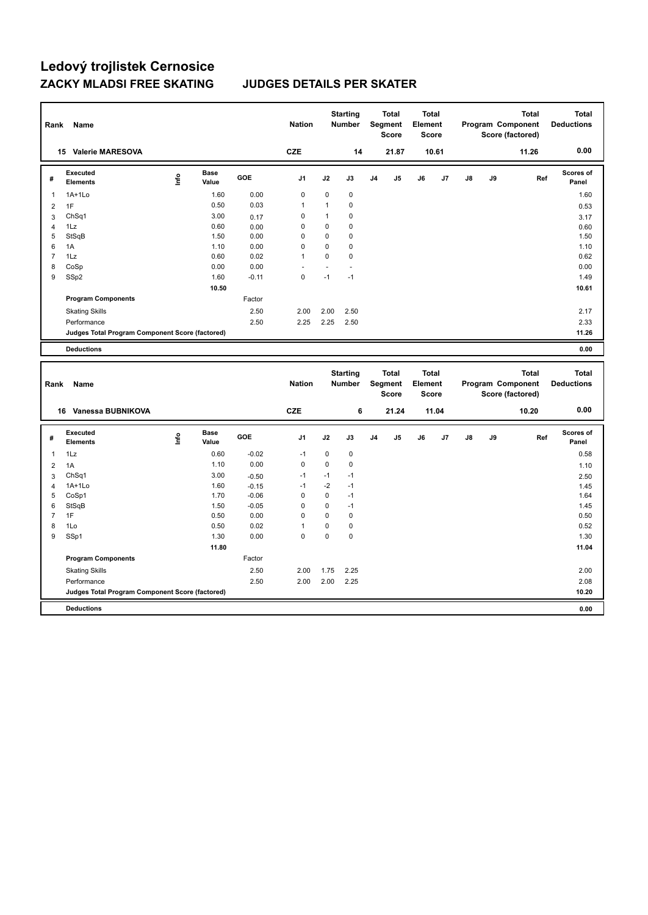| Rank           | Name                                            |      |                      |                 | <b>Nation</b>                 |              | <b>Starting</b><br><b>Number</b> |                | <b>Total</b><br>Segment<br>Score        | <b>Total</b><br>Element<br><b>Score</b> |       |               |    | Program Component<br>Score (factored) | <b>Total</b> | <b>Total</b><br><b>Deductions</b> |
|----------------|-------------------------------------------------|------|----------------------|-----------------|-------------------------------|--------------|----------------------------------|----------------|-----------------------------------------|-----------------------------------------|-------|---------------|----|---------------------------------------|--------------|-----------------------------------|
|                | 15 Valerie MARESOVA                             |      |                      |                 | <b>CZE</b>                    |              | 14                               |                | 21.87                                   |                                         | 10.61 |               |    |                                       | 11.26        | 0.00                              |
| #              | <b>Executed</b><br><b>Elements</b>              | lnfo | <b>Base</b><br>Value | GOE             | J <sub>1</sub>                | J2           | J3                               | J <sub>4</sub> | J5                                      | J6                                      | J7    | $\mathsf{J}8$ | J9 |                                       | Ref          | Scores of<br>Panel                |
| 1              | $1A+1Lo$                                        |      | 1.60                 | 0.00            | 0                             | 0            | $\mathbf 0$                      |                |                                         |                                         |       |               |    |                                       |              | 1.60                              |
| $\overline{2}$ | 1F                                              |      | 0.50                 | 0.03            | 1                             | $\mathbf{1}$ | $\mathbf 0$                      |                |                                         |                                         |       |               |    |                                       |              | 0.53                              |
| 3              | ChSq1                                           |      | 3.00                 | 0.17            | 0                             | $\mathbf{1}$ | $\mathbf 0$                      |                |                                         |                                         |       |               |    |                                       |              | 3.17                              |
| $\overline{4}$ | 1Lz                                             |      | 0.60                 | 0.00            | $\mathbf 0$                   | 0            | $\mathbf 0$                      |                |                                         |                                         |       |               |    |                                       |              | 0.60                              |
| 5              | StSqB                                           |      | 1.50                 | 0.00            | 0                             | 0            | $\mathbf 0$                      |                |                                         |                                         |       |               |    |                                       |              | 1.50                              |
| 6              | 1A                                              |      | 1.10                 | 0.00            | $\mathbf 0$                   | 0            | $\mathbf 0$                      |                |                                         |                                         |       |               |    |                                       |              | 1.10                              |
| $\overline{7}$ | 1Lz                                             |      | 0.60                 | 0.02            | 1                             | 0            | $\pmb{0}$                        |                |                                         |                                         |       |               |    |                                       |              | 0.62                              |
| 8<br>9         | CoSp                                            |      | 0.00<br>1.60         | 0.00<br>$-0.11$ | $\overline{a}$<br>$\mathbf 0$ | ÷.<br>$-1$   | ä,<br>$-1$                       |                |                                         |                                         |       |               |    |                                       |              | 0.00<br>1.49                      |
|                | SSp2                                            |      |                      |                 |                               |              |                                  |                |                                         |                                         |       |               |    |                                       |              |                                   |
|                |                                                 |      | 10.50                |                 |                               |              |                                  |                |                                         |                                         |       |               |    |                                       |              | 10.61                             |
|                | <b>Program Components</b>                       |      |                      | Factor          |                               |              |                                  |                |                                         |                                         |       |               |    |                                       |              |                                   |
|                | <b>Skating Skills</b>                           |      |                      | 2.50            | 2.00                          | 2.00         | 2.50                             |                |                                         |                                         |       |               |    |                                       |              | 2.17                              |
|                | Performance                                     |      |                      | 2.50            | 2.25                          | 2.25         | 2.50                             |                |                                         |                                         |       |               |    |                                       |              | 2.33                              |
|                | Judges Total Program Component Score (factored) |      |                      |                 |                               |              |                                  |                |                                         |                                         |       |               |    |                                       |              | 11.26                             |
|                | <b>Deductions</b>                               |      |                      |                 |                               |              |                                  |                |                                         |                                         |       |               |    |                                       |              | 0.00                              |
|                |                                                 |      |                      |                 |                               |              |                                  |                |                                         |                                         |       |               |    |                                       |              |                                   |
| Rank           | Name                                            |      |                      |                 | <b>Nation</b>                 |              | <b>Starting</b><br>Number        |                | <b>Total</b><br>Segment<br><b>Score</b> | <b>Total</b><br>Element<br><b>Score</b> |       |               |    | Program Component<br>Score (factored) | <b>Total</b> | <b>Total</b><br><b>Deductions</b> |
|                | 16 Vanessa BUBNIKOVA                            |      |                      |                 | <b>CZE</b>                    |              | 6                                |                | 21.24                                   |                                         | 11.04 |               |    |                                       | 10.20        | 0.00                              |
| #              | <b>Executed</b><br><b>Elements</b>              | ۴    | Base<br>Value        | GOE             | J <sub>1</sub>                | J2           | J3                               | J4             | J5                                      | J6                                      | J7    | J8            | J9 |                                       | Ref          | <b>Scores of</b><br>Panel         |
| $\mathbf{1}$   | 1Lz                                             |      | 0.60                 | $-0.02$         | $-1$                          | 0            | $\mathbf 0$                      |                |                                         |                                         |       |               |    |                                       |              | 0.58                              |
| $\overline{2}$ | 1A                                              |      | 1.10                 | 0.00            | 0                             | 0            | $\mathbf 0$                      |                |                                         |                                         |       |               |    |                                       |              | 1.10                              |
| 3              | ChSq1                                           |      | 3.00                 | $-0.50$         | $-1$                          | $-1$         | $-1$                             |                |                                         |                                         |       |               |    |                                       |              | 2.50                              |
| $\overline{4}$ | 1A+1Lo                                          |      | 1.60                 | $-0.15$         | $-1$                          | $-2$         | $-1$                             |                |                                         |                                         |       |               |    |                                       |              | 1.45                              |
| 5              | CoSp1                                           |      | 1.70                 | $-0.06$         | $\mathbf 0$                   | 0            | $-1$                             |                |                                         |                                         |       |               |    |                                       |              | 1.64                              |
| 6              | StSqB                                           |      | 1.50                 | $-0.05$         | $\mathbf 0$                   | 0            | $-1$                             |                |                                         |                                         |       |               |    |                                       |              | 1.45                              |
| $\overline{7}$ | 1F                                              |      | 0.50                 | 0.00            | 0                             | 0            | $\pmb{0}$                        |                |                                         |                                         |       |               |    |                                       |              | 0.50                              |
| 8              | 1Lo                                             |      | 0.50                 | 0.02            | 1                             | 0            | $\pmb{0}$                        |                |                                         |                                         |       |               |    |                                       |              | 0.52                              |
| 9              | SSp1                                            |      | 1.30                 | 0.00            | $\Omega$                      | 0            | $\mathbf 0$                      |                |                                         |                                         |       |               |    |                                       |              | 1.30                              |
|                |                                                 |      | 11.80                |                 |                               |              |                                  |                |                                         |                                         |       |               |    |                                       |              | 11.04                             |
|                | <b>Program Components</b>                       |      |                      | Factor          |                               |              |                                  |                |                                         |                                         |       |               |    |                                       |              |                                   |
|                | <b>Skating Skills</b>                           |      |                      | 2.50            | 2.00                          | 1.75         | 2.25                             |                |                                         |                                         |       |               |    |                                       |              | 2.00                              |
|                | Performance                                     |      |                      | 2.50            | 2.00                          | 2.00         | 2.25                             |                |                                         |                                         |       |               |    |                                       |              | 2.08                              |
|                | Judges Total Program Component Score (factored) |      |                      |                 |                               |              |                                  |                |                                         |                                         |       |               |    |                                       |              | 10.20                             |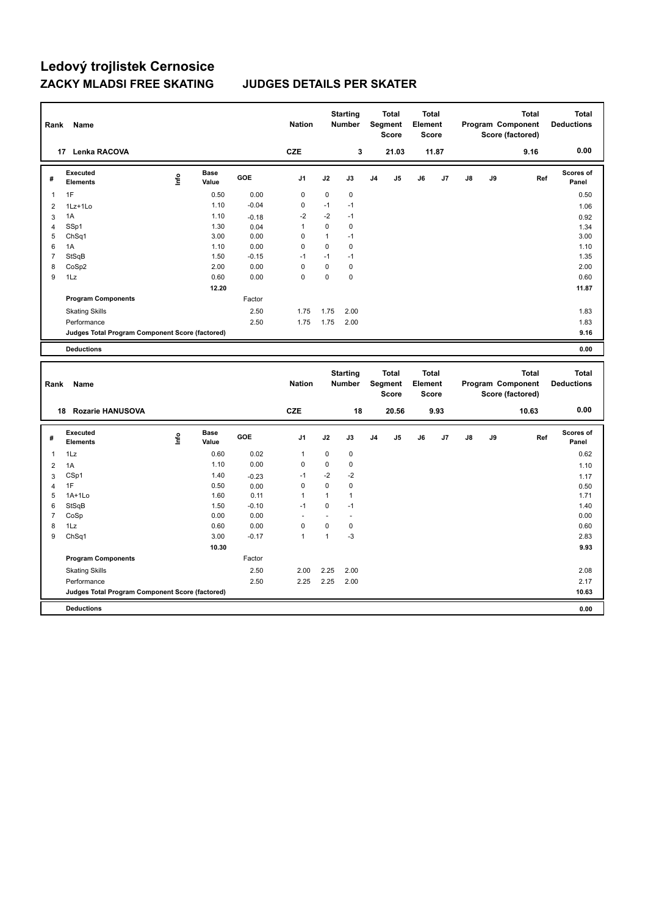| Rank           | Name                                            |      |                      |         | <b>Nation</b>  |              | <b>Starting</b><br><b>Number</b> |    | <b>Total</b><br>Segment<br><b>Score</b> | Total<br>Element<br>Score               |       |               |    | <b>Total</b><br>Program Component<br>Score (factored) | <b>Total</b><br><b>Deductions</b> |
|----------------|-------------------------------------------------|------|----------------------|---------|----------------|--------------|----------------------------------|----|-----------------------------------------|-----------------------------------------|-------|---------------|----|-------------------------------------------------------|-----------------------------------|
|                | 17 Lenka RACOVA                                 |      |                      |         | CZE            |              | 3                                |    | 21.03                                   |                                         | 11.87 |               |    | 9.16                                                  | 0.00                              |
| #              | <b>Executed</b><br><b>Elements</b>              | lnfo | <b>Base</b><br>Value | GOE     | J1             | J2           | J3                               | J4 | J5                                      | J6                                      | J7    | $\mathsf{J}8$ | J9 | Ref                                                   | Scores of<br>Panel                |
| $\mathbf{1}$   | 1F                                              |      | 0.50                 | 0.00    | $\mathbf 0$    | 0            | 0                                |    |                                         |                                         |       |               |    |                                                       | 0.50                              |
| $\overline{2}$ | 1Lz+1Lo                                         |      | 1.10                 | $-0.04$ | $\mathbf 0$    | $-1$         | $-1$                             |    |                                         |                                         |       |               |    |                                                       | 1.06                              |
| 3              | 1A                                              |      | 1.10                 | $-0.18$ | $-2$           | $-2$         | $-1$                             |    |                                         |                                         |       |               |    |                                                       | 0.92                              |
| $\overline{4}$ | SSp1                                            |      | 1.30                 | 0.04    | $\mathbf{1}$   | 0            | $\mathbf 0$                      |    |                                         |                                         |       |               |    |                                                       | 1.34                              |
| 5              | Ch <sub>Sq1</sub>                               |      | 3.00                 | 0.00    | $\mathbf 0$    | $\mathbf{1}$ | $-1$                             |    |                                         |                                         |       |               |    |                                                       | 3.00                              |
| 6              | 1A                                              |      | 1.10                 | 0.00    | $\mathbf 0$    | 0            | $\pmb{0}$                        |    |                                         |                                         |       |               |    |                                                       | 1.10                              |
| $\overline{7}$ | StSqB                                           |      | 1.50                 | $-0.15$ | $-1$           | $-1$         | $-1$                             |    |                                         |                                         |       |               |    |                                                       | 1.35                              |
| 8              | CoSp2                                           |      | 2.00                 | 0.00    | 0              | 0            | $\pmb{0}$                        |    |                                         |                                         |       |               |    |                                                       | 2.00                              |
| 9              | 1Lz                                             |      | 0.60                 | 0.00    | $\mathbf 0$    | 0            | $\mathbf 0$                      |    |                                         |                                         |       |               |    |                                                       | 0.60                              |
|                |                                                 |      | 12.20                |         |                |              |                                  |    |                                         |                                         |       |               |    |                                                       | 11.87                             |
|                | <b>Program Components</b>                       |      |                      | Factor  |                |              |                                  |    |                                         |                                         |       |               |    |                                                       |                                   |
|                | <b>Skating Skills</b>                           |      |                      | 2.50    | 1.75           | 1.75         | 2.00                             |    |                                         |                                         |       |               |    |                                                       | 1.83                              |
|                | Performance                                     |      |                      | 2.50    | 1.75           | 1.75         | 2.00                             |    |                                         |                                         |       |               |    |                                                       | 1.83                              |
|                | Judges Total Program Component Score (factored) |      |                      |         |                |              |                                  |    |                                         |                                         |       |               |    |                                                       | 9.16                              |
|                | <b>Deductions</b>                               |      |                      |         |                |              |                                  |    |                                         |                                         |       |               |    |                                                       | 0.00                              |
| Rank           | Name                                            |      |                      |         | <b>Nation</b>  |              | <b>Starting</b><br>Number        |    | <b>Total</b><br>Segment<br><b>Score</b> | <b>Total</b><br>Element<br><b>Score</b> |       |               |    | <b>Total</b><br>Program Component<br>Score (factored) | <b>Total</b><br><b>Deductions</b> |
|                | 18 Rozarie HANUSOVA                             |      |                      |         | <b>CZE</b>     |              | 18                               |    | 20.56                                   |                                         | 9.93  |               |    |                                                       | 0.00                              |
| #              | <b>Executed</b>                                 |      |                      |         |                |              |                                  |    |                                         |                                         |       |               |    | 10.63                                                 |                                   |
| $\mathbf{1}$   | <b>Elements</b>                                 | lnfo | Base<br>Value        | GOE     | J <sub>1</sub> | J2           | J3                               | J4 | J5                                      | J6                                      | J7    | J8            | J9 | Ref                                                   | Scores of<br>Panel                |
|                | 1Lz                                             |      | 0.60                 | 0.02    | $\mathbf{1}$   | 0            | $\mathbf 0$                      |    |                                         |                                         |       |               |    |                                                       | 0.62                              |
| $\overline{2}$ | 1A                                              |      | 1.10                 | 0.00    | 0              | 0            | 0                                |    |                                         |                                         |       |               |    |                                                       | 1.10                              |
| 3              | CSp1                                            |      | 1.40                 | $-0.23$ | $-1$           | $-2$         | $-2$                             |    |                                         |                                         |       |               |    |                                                       | 1.17                              |
| $\overline{4}$ | 1F                                              |      | 0.50                 | 0.00    | 0              | 0            | 0                                |    |                                         |                                         |       |               |    |                                                       | 0.50                              |
| 5              | $1A+1Lo$                                        |      | 1.60                 | 0.11    | $\mathbf{1}$   | $\mathbf{1}$ | $\mathbf{1}$                     |    |                                         |                                         |       |               |    |                                                       | 1.71                              |
| 6              | StSqB                                           |      | 1.50                 | $-0.10$ | $-1$           | 0            | $-1$                             |    |                                         |                                         |       |               |    |                                                       | 1.40                              |
| $\overline{7}$ | CoSp                                            |      | 0.00                 | 0.00    |                |              | ł,                               |    |                                         |                                         |       |               |    |                                                       | 0.00                              |
| 8              | 1Lz                                             |      | 0.60                 | 0.00    | $\mathbf 0$    | 0            | $\pmb{0}$                        |    |                                         |                                         |       |               |    |                                                       | 0.60                              |
| 9              | Ch <sub>Sq1</sub>                               |      | 3.00                 | $-0.17$ | $\mathbf{1}$   | $\mathbf{1}$ | $-3$                             |    |                                         |                                         |       |               |    |                                                       | 2.83                              |
|                |                                                 |      | 10.30                |         |                |              |                                  |    |                                         |                                         |       |               |    |                                                       | 9.93                              |
|                | <b>Program Components</b>                       |      |                      | Factor  |                |              |                                  |    |                                         |                                         |       |               |    |                                                       |                                   |
|                | <b>Skating Skills</b>                           |      |                      | 2.50    | 2.00           | 2.25         | 2.00                             |    |                                         |                                         |       |               |    |                                                       | 2.08                              |
|                | Performance                                     |      |                      | 2.50    | 2.25           | 2.25         | 2.00                             |    |                                         |                                         |       |               |    |                                                       | 2.17                              |
|                | Judges Total Program Component Score (factored) |      |                      |         |                |              |                                  |    |                                         |                                         |       |               |    |                                                       | 10.63                             |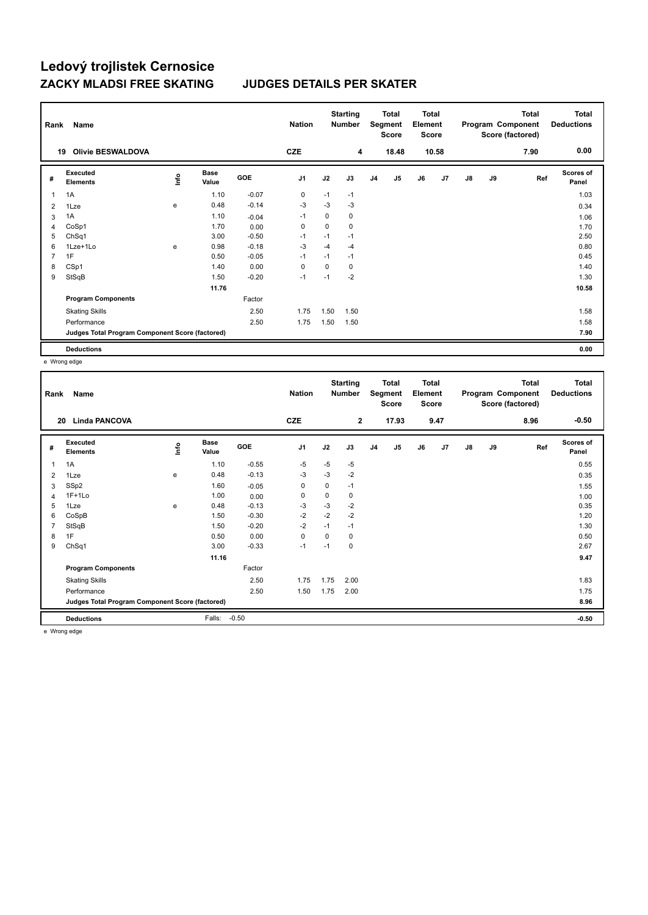| Rank | Name                                            |      |                      |            | <b>Nation</b>  |             | <b>Starting</b><br><b>Number</b> |    | <b>Total</b><br>Segment<br><b>Score</b> | <b>Total</b><br>Element<br><b>Score</b> |       |               |    | <b>Total</b><br>Program Component<br>Score (factored) | <b>Total</b><br><b>Deductions</b> |
|------|-------------------------------------------------|------|----------------------|------------|----------------|-------------|----------------------------------|----|-----------------------------------------|-----------------------------------------|-------|---------------|----|-------------------------------------------------------|-----------------------------------|
| 19   | <b>Olivie BESWALDOVA</b>                        |      |                      |            | <b>CZE</b>     |             | 4                                |    | 18.48                                   |                                         | 10.58 |               |    | 7.90                                                  | 0.00                              |
| #    | Executed<br><b>Elements</b>                     | ١nf٥ | <b>Base</b><br>Value | <b>GOE</b> | J <sub>1</sub> | J2          | J3                               | J4 | J <sub>5</sub>                          | J6                                      | J7    | $\mathsf{J}8$ | J9 | Ref                                                   | <b>Scores of</b><br>Panel         |
| 1    | 1A                                              |      | 1.10                 | $-0.07$    | 0              | $-1$        | $-1$                             |    |                                         |                                         |       |               |    |                                                       | 1.03                              |
| 2    | 1Lze                                            | e    | 0.48                 | $-0.14$    | $-3$           | $-3$        | $-3$                             |    |                                         |                                         |       |               |    |                                                       | 0.34                              |
| 3    | 1A                                              |      | 1.10                 | $-0.04$    | $-1$           | 0           | 0                                |    |                                         |                                         |       |               |    |                                                       | 1.06                              |
| 4    | CoSp1                                           |      | 1.70                 | 0.00       | 0              | $\mathbf 0$ | 0                                |    |                                         |                                         |       |               |    |                                                       | 1.70                              |
| 5    | ChSq1                                           |      | 3.00                 | $-0.50$    | $-1$           | $-1$        | $-1$                             |    |                                         |                                         |       |               |    |                                                       | 2.50                              |
| 6    | 1Lze+1Lo                                        | e    | 0.98                 | $-0.18$    | $-3$           | $-4$        | $-4$                             |    |                                         |                                         |       |               |    |                                                       | 0.80                              |
| 7    | 1F                                              |      | 0.50                 | $-0.05$    | $-1$           | $-1$        | $-1$                             |    |                                         |                                         |       |               |    |                                                       | 0.45                              |
| 8    | CSp1                                            |      | 1.40                 | 0.00       | 0              | 0           | 0                                |    |                                         |                                         |       |               |    |                                                       | 1.40                              |
| 9    | StSqB                                           |      | 1.50                 | $-0.20$    | $-1$           | $-1$        | $-2$                             |    |                                         |                                         |       |               |    |                                                       | 1.30                              |
|      |                                                 |      | 11.76                |            |                |             |                                  |    |                                         |                                         |       |               |    |                                                       | 10.58                             |
|      | <b>Program Components</b>                       |      |                      | Factor     |                |             |                                  |    |                                         |                                         |       |               |    |                                                       |                                   |
|      | <b>Skating Skills</b>                           |      |                      | 2.50       | 1.75           | 1.50        | 1.50                             |    |                                         |                                         |       |               |    |                                                       | 1.58                              |
|      | Performance                                     |      |                      | 2.50       | 1.75           | 1.50        | 1.50                             |    |                                         |                                         |       |               |    |                                                       | 1.58                              |
|      | Judges Total Program Component Score (factored) |      |                      |            |                |             |                                  |    |                                         |                                         |       |               |    |                                                       | 7.90                              |
|      | <b>Deductions</b>                               |      |                      |            |                |             |                                  |    |                                         |                                         |       |               |    |                                                       | 0.00                              |

e Wrong edge

| $-0.50$<br><b>CZE</b><br>$\mathbf{2}$<br><b>Linda PANCOVA</b><br>17.93<br>9.47<br>8.96<br>20<br><b>Scores of</b><br>Executed<br><b>Base</b><br>lnfo<br>GOE<br>J <sub>1</sub><br>J2<br>J9<br>Ref<br>J3<br>J <sub>5</sub><br>J6<br>J7<br>$\mathsf{J}8$<br>J4<br>#<br><b>Elements</b><br>Value<br>Panel<br>$-5$<br>1.10<br>$-0.55$<br>$-5$<br>0.55<br>1A<br>$-5$<br>$\mathbf{1}$<br>$-0.13$<br>$-3$<br>0.48<br>$-3$<br>$-2$<br>e<br>0.35<br>2<br>1Lze<br>SSp2<br>$\pmb{0}$<br>$\mathbf 0$<br>$-1$<br>1.60<br>$-0.05$<br>3<br>1.55<br>$1F+1Lo$<br>$\mathbf 0$<br>1.00<br>0<br>0<br>0.00<br>1.00<br>$\overline{4}$<br>$-3$<br>$-2$<br>1Lze<br>$-0.13$<br>$-3$<br>0.35<br>5<br>0.48<br>e<br>$-2$<br>$-2$<br>$-2$<br>$-0.30$<br>1.20<br>CoSpB<br>1.50<br>6<br>$-2$<br>StSqB<br>$-0.20$<br>$-1$<br>1.30<br>$\overline{7}$<br>1.50<br>$-1$<br>1F<br>0.00<br>$\pmb{0}$<br>$\Omega$<br>0.50<br>0<br>0.50<br>8<br>ChSq1<br>3.00<br>$-0.33$<br>0<br>2.67<br>9<br>$-1$<br>$-1$<br>11.16<br>9.47<br>Factor<br><b>Program Components</b><br>1.75<br>2.50<br>1.75<br>2.00<br>1.83<br><b>Skating Skills</b><br>2.50<br>1.75<br>1.75<br>Performance<br>1.50<br>2.00<br>Judges Total Program Component Score (factored)<br>8.96<br>$-0.50$<br><b>Deductions</b><br>Falls:<br>$-0.50$ | Rank | Name |  | <b>Nation</b> | <b>Starting</b><br><b>Number</b> | <b>Total</b><br>Segment<br><b>Score</b> | Total<br>Element<br><b>Score</b> |  | Total<br>Program Component<br>Score (factored) | <b>Total</b><br><b>Deductions</b> |
|------------------------------------------------------------------------------------------------------------------------------------------------------------------------------------------------------------------------------------------------------------------------------------------------------------------------------------------------------------------------------------------------------------------------------------------------------------------------------------------------------------------------------------------------------------------------------------------------------------------------------------------------------------------------------------------------------------------------------------------------------------------------------------------------------------------------------------------------------------------------------------------------------------------------------------------------------------------------------------------------------------------------------------------------------------------------------------------------------------------------------------------------------------------------------------------------------------------------------------------------------------------|------|------|--|---------------|----------------------------------|-----------------------------------------|----------------------------------|--|------------------------------------------------|-----------------------------------|
|                                                                                                                                                                                                                                                                                                                                                                                                                                                                                                                                                                                                                                                                                                                                                                                                                                                                                                                                                                                                                                                                                                                                                                                                                                                                  |      |      |  |               |                                  |                                         |                                  |  |                                                |                                   |
|                                                                                                                                                                                                                                                                                                                                                                                                                                                                                                                                                                                                                                                                                                                                                                                                                                                                                                                                                                                                                                                                                                                                                                                                                                                                  |      |      |  |               |                                  |                                         |                                  |  |                                                |                                   |
|                                                                                                                                                                                                                                                                                                                                                                                                                                                                                                                                                                                                                                                                                                                                                                                                                                                                                                                                                                                                                                                                                                                                                                                                                                                                  |      |      |  |               |                                  |                                         |                                  |  |                                                |                                   |
|                                                                                                                                                                                                                                                                                                                                                                                                                                                                                                                                                                                                                                                                                                                                                                                                                                                                                                                                                                                                                                                                                                                                                                                                                                                                  |      |      |  |               |                                  |                                         |                                  |  |                                                |                                   |
|                                                                                                                                                                                                                                                                                                                                                                                                                                                                                                                                                                                                                                                                                                                                                                                                                                                                                                                                                                                                                                                                                                                                                                                                                                                                  |      |      |  |               |                                  |                                         |                                  |  |                                                |                                   |
|                                                                                                                                                                                                                                                                                                                                                                                                                                                                                                                                                                                                                                                                                                                                                                                                                                                                                                                                                                                                                                                                                                                                                                                                                                                                  |      |      |  |               |                                  |                                         |                                  |  |                                                |                                   |
|                                                                                                                                                                                                                                                                                                                                                                                                                                                                                                                                                                                                                                                                                                                                                                                                                                                                                                                                                                                                                                                                                                                                                                                                                                                                  |      |      |  |               |                                  |                                         |                                  |  |                                                |                                   |
|                                                                                                                                                                                                                                                                                                                                                                                                                                                                                                                                                                                                                                                                                                                                                                                                                                                                                                                                                                                                                                                                                                                                                                                                                                                                  |      |      |  |               |                                  |                                         |                                  |  |                                                |                                   |
|                                                                                                                                                                                                                                                                                                                                                                                                                                                                                                                                                                                                                                                                                                                                                                                                                                                                                                                                                                                                                                                                                                                                                                                                                                                                  |      |      |  |               |                                  |                                         |                                  |  |                                                |                                   |
|                                                                                                                                                                                                                                                                                                                                                                                                                                                                                                                                                                                                                                                                                                                                                                                                                                                                                                                                                                                                                                                                                                                                                                                                                                                                  |      |      |  |               |                                  |                                         |                                  |  |                                                |                                   |
|                                                                                                                                                                                                                                                                                                                                                                                                                                                                                                                                                                                                                                                                                                                                                                                                                                                                                                                                                                                                                                                                                                                                                                                                                                                                  |      |      |  |               |                                  |                                         |                                  |  |                                                |                                   |
|                                                                                                                                                                                                                                                                                                                                                                                                                                                                                                                                                                                                                                                                                                                                                                                                                                                                                                                                                                                                                                                                                                                                                                                                                                                                  |      |      |  |               |                                  |                                         |                                  |  |                                                |                                   |
|                                                                                                                                                                                                                                                                                                                                                                                                                                                                                                                                                                                                                                                                                                                                                                                                                                                                                                                                                                                                                                                                                                                                                                                                                                                                  |      |      |  |               |                                  |                                         |                                  |  |                                                |                                   |
|                                                                                                                                                                                                                                                                                                                                                                                                                                                                                                                                                                                                                                                                                                                                                                                                                                                                                                                                                                                                                                                                                                                                                                                                                                                                  |      |      |  |               |                                  |                                         |                                  |  |                                                |                                   |
|                                                                                                                                                                                                                                                                                                                                                                                                                                                                                                                                                                                                                                                                                                                                                                                                                                                                                                                                                                                                                                                                                                                                                                                                                                                                  |      |      |  |               |                                  |                                         |                                  |  |                                                |                                   |
|                                                                                                                                                                                                                                                                                                                                                                                                                                                                                                                                                                                                                                                                                                                                                                                                                                                                                                                                                                                                                                                                                                                                                                                                                                                                  |      |      |  |               |                                  |                                         |                                  |  |                                                |                                   |
|                                                                                                                                                                                                                                                                                                                                                                                                                                                                                                                                                                                                                                                                                                                                                                                                                                                                                                                                                                                                                                                                                                                                                                                                                                                                  |      |      |  |               |                                  |                                         |                                  |  |                                                |                                   |

e Wrong edge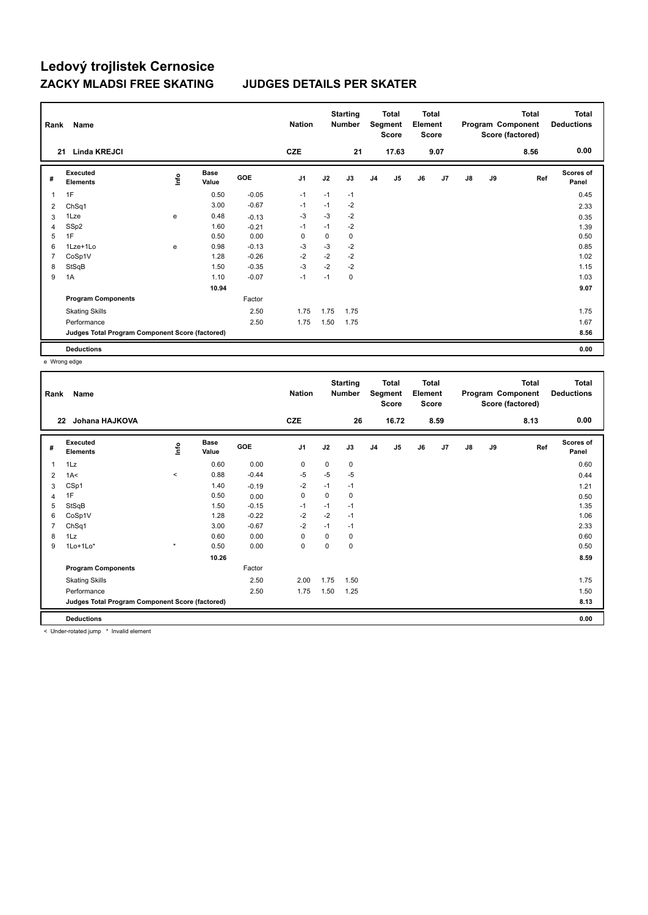| Rank | Name                                            |                                  |                      |            | <b>Nation</b> |             | <b>Starting</b><br><b>Number</b> |                | Total<br>Segment<br><b>Score</b> | <b>Total</b><br>Element<br><b>Score</b> |      |    |    | Total<br>Program Component<br>Score (factored) | <b>Total</b><br><b>Deductions</b> |
|------|-------------------------------------------------|----------------------------------|----------------------|------------|---------------|-------------|----------------------------------|----------------|----------------------------------|-----------------------------------------|------|----|----|------------------------------------------------|-----------------------------------|
| 21   | <b>Linda KREJCI</b>                             |                                  |                      |            | <b>CZE</b>    |             | 21                               |                | 17.63                            |                                         | 9.07 |    |    | 8.56                                           | 0.00                              |
| #    | Executed<br><b>Elements</b>                     | $\mathop{\mathsf{Int}}\nolimits$ | <b>Base</b><br>Value | <b>GOE</b> | J1            | J2          | J3                               | J <sub>4</sub> | J5                               | J6                                      | J7   | J8 | J9 | Ref                                            | <b>Scores of</b><br>Panel         |
| 1    | 1F                                              |                                  | 0.50                 | $-0.05$    | $-1$          | $-1$        | $-1$                             |                |                                  |                                         |      |    |    |                                                | 0.45                              |
| 2    | ChSq1                                           |                                  | 3.00                 | $-0.67$    | $-1$          | $-1$        | $-2$                             |                |                                  |                                         |      |    |    |                                                | 2.33                              |
| 3    | 1Lze                                            | e                                | 0.48                 | $-0.13$    | $-3$          | $-3$        | $-2$                             |                |                                  |                                         |      |    |    |                                                | 0.35                              |
| 4    | SSp2                                            |                                  | 1.60                 | $-0.21$    | $-1$          | $-1$        | $-2$                             |                |                                  |                                         |      |    |    |                                                | 1.39                              |
| 5    | 1F                                              |                                  | 0.50                 | 0.00       | $\mathbf 0$   | $\mathbf 0$ | 0                                |                |                                  |                                         |      |    |    |                                                | 0.50                              |
| 6    | 1Lze+1Lo                                        | e                                | 0.98                 | $-0.13$    | -3            | $-3$        | $-2$                             |                |                                  |                                         |      |    |    |                                                | 0.85                              |
| 7    | CoSp1V                                          |                                  | 1.28                 | $-0.26$    | -2            | $-2$        | $-2$                             |                |                                  |                                         |      |    |    |                                                | 1.02                              |
| 8    | StSqB                                           |                                  | 1.50                 | $-0.35$    | $-3$          | $-2$        | $-2$                             |                |                                  |                                         |      |    |    |                                                | 1.15                              |
| 9    | 1A                                              |                                  | 1.10                 | $-0.07$    | $-1$          | $-1$        | 0                                |                |                                  |                                         |      |    |    |                                                | 1.03                              |
|      |                                                 |                                  | 10.94                |            |               |             |                                  |                |                                  |                                         |      |    |    |                                                | 9.07                              |
|      | <b>Program Components</b>                       |                                  |                      | Factor     |               |             |                                  |                |                                  |                                         |      |    |    |                                                |                                   |
|      | <b>Skating Skills</b>                           |                                  |                      | 2.50       | 1.75          | 1.75        | 1.75                             |                |                                  |                                         |      |    |    |                                                | 1.75                              |
|      | Performance                                     |                                  |                      | 2.50       | 1.75          | 1.50        | 1.75                             |                |                                  |                                         |      |    |    |                                                | 1.67                              |
|      | Judges Total Program Component Score (factored) |                                  |                      |            |               |             |                                  |                |                                  |                                         |      |    |    |                                                | 8.56                              |
|      | <b>Deductions</b>                               |                                  |                      |            |               |             |                                  |                |                                  |                                         |      |    |    |                                                | 0.00                              |

e Wrong edge

| 0.00<br><b>CZE</b><br>26<br>16.72<br>8.59<br>8.13<br>Johana HAJKOVA<br>22<br><b>Scores of</b><br>Executed<br><b>Base</b><br>$\mathop{\mathsf{Int}}\nolimits$<br><b>GOE</b><br>J1<br>J2<br>J3<br>J <sub>5</sub><br>J6<br>J7<br>$\mathsf{J}8$<br>J9<br>Ref<br>J <sub>4</sub><br>#<br>Value<br>Panel<br><b>Elements</b><br>0.00<br>1Lz<br>0.60<br>$\mathbf 0$<br>$\mathbf 0$<br>0.60<br>$\mathbf{1}$<br>0<br>$-5$<br>0.88<br>$-0.44$<br>$-5$<br>$-5$<br>$\hat{}$<br>1A<<br>0.44<br>2<br>CSp1<br>$-2$<br>1.40<br>$-1$<br>$-1$<br>$-0.19$<br>1.21<br>3<br>1F<br>0.50<br>$\pmb{0}$<br>$\mathbf 0$<br>$\mathbf 0$<br>0.00<br>0.50<br>$\overline{4}$<br>StSqB<br>$-0.15$<br>1.35<br>5<br>1.50<br>$-1$<br>$-1$<br>$-1$<br>$-2$<br>$-2$<br>CoSp1V<br>1.28<br>$-0.22$<br>1.06<br>6<br>$-1$<br>$-0.67$<br>$-2$<br>2.33<br>$\overline{7}$<br>ChSq1<br>3.00<br>$-1$<br>$-1$<br>0.00<br>1Lz<br>0.60<br>0<br>$\Omega$<br>0.60<br>8<br>0<br>$\star$<br>$1$ Lo $+1$ Lo $*$<br>0.50<br>0.00<br>$\mathbf 0$<br>0<br>$\mathbf 0$<br>0.50<br>9<br>10.26<br>8.59<br>Factor<br><b>Program Components</b><br>1.75<br>2.50<br>2.00<br><b>Skating Skills</b><br>1.50<br>1.75<br>2.50<br>Performance<br>1.75<br>1.50<br>1.50<br>1.25<br>Judges Total Program Component Score (factored)<br>8.13<br><b>Deductions</b><br>0.00 | Rank | Name |  | <b>Nation</b> | <b>Starting</b><br><b>Number</b> | <b>Total</b><br>Segment<br><b>Score</b> | <b>Total</b><br>Element<br>Score |  | <b>Total</b><br>Program Component<br>Score (factored) | <b>Total</b><br><b>Deductions</b> |
|--------------------------------------------------------------------------------------------------------------------------------------------------------------------------------------------------------------------------------------------------------------------------------------------------------------------------------------------------------------------------------------------------------------------------------------------------------------------------------------------------------------------------------------------------------------------------------------------------------------------------------------------------------------------------------------------------------------------------------------------------------------------------------------------------------------------------------------------------------------------------------------------------------------------------------------------------------------------------------------------------------------------------------------------------------------------------------------------------------------------------------------------------------------------------------------------------------------------------------------------------------------------------------------------------|------|------|--|---------------|----------------------------------|-----------------------------------------|----------------------------------|--|-------------------------------------------------------|-----------------------------------|
|                                                                                                                                                                                                                                                                                                                                                                                                                                                                                                                                                                                                                                                                                                                                                                                                                                                                                                                                                                                                                                                                                                                                                                                                                                                                                                  |      |      |  |               |                                  |                                         |                                  |  |                                                       |                                   |
|                                                                                                                                                                                                                                                                                                                                                                                                                                                                                                                                                                                                                                                                                                                                                                                                                                                                                                                                                                                                                                                                                                                                                                                                                                                                                                  |      |      |  |               |                                  |                                         |                                  |  |                                                       |                                   |
|                                                                                                                                                                                                                                                                                                                                                                                                                                                                                                                                                                                                                                                                                                                                                                                                                                                                                                                                                                                                                                                                                                                                                                                                                                                                                                  |      |      |  |               |                                  |                                         |                                  |  |                                                       |                                   |
|                                                                                                                                                                                                                                                                                                                                                                                                                                                                                                                                                                                                                                                                                                                                                                                                                                                                                                                                                                                                                                                                                                                                                                                                                                                                                                  |      |      |  |               |                                  |                                         |                                  |  |                                                       |                                   |
|                                                                                                                                                                                                                                                                                                                                                                                                                                                                                                                                                                                                                                                                                                                                                                                                                                                                                                                                                                                                                                                                                                                                                                                                                                                                                                  |      |      |  |               |                                  |                                         |                                  |  |                                                       |                                   |
|                                                                                                                                                                                                                                                                                                                                                                                                                                                                                                                                                                                                                                                                                                                                                                                                                                                                                                                                                                                                                                                                                                                                                                                                                                                                                                  |      |      |  |               |                                  |                                         |                                  |  |                                                       |                                   |
|                                                                                                                                                                                                                                                                                                                                                                                                                                                                                                                                                                                                                                                                                                                                                                                                                                                                                                                                                                                                                                                                                                                                                                                                                                                                                                  |      |      |  |               |                                  |                                         |                                  |  |                                                       |                                   |
|                                                                                                                                                                                                                                                                                                                                                                                                                                                                                                                                                                                                                                                                                                                                                                                                                                                                                                                                                                                                                                                                                                                                                                                                                                                                                                  |      |      |  |               |                                  |                                         |                                  |  |                                                       |                                   |
|                                                                                                                                                                                                                                                                                                                                                                                                                                                                                                                                                                                                                                                                                                                                                                                                                                                                                                                                                                                                                                                                                                                                                                                                                                                                                                  |      |      |  |               |                                  |                                         |                                  |  |                                                       |                                   |
|                                                                                                                                                                                                                                                                                                                                                                                                                                                                                                                                                                                                                                                                                                                                                                                                                                                                                                                                                                                                                                                                                                                                                                                                                                                                                                  |      |      |  |               |                                  |                                         |                                  |  |                                                       |                                   |
|                                                                                                                                                                                                                                                                                                                                                                                                                                                                                                                                                                                                                                                                                                                                                                                                                                                                                                                                                                                                                                                                                                                                                                                                                                                                                                  |      |      |  |               |                                  |                                         |                                  |  |                                                       |                                   |
|                                                                                                                                                                                                                                                                                                                                                                                                                                                                                                                                                                                                                                                                                                                                                                                                                                                                                                                                                                                                                                                                                                                                                                                                                                                                                                  |      |      |  |               |                                  |                                         |                                  |  |                                                       |                                   |
|                                                                                                                                                                                                                                                                                                                                                                                                                                                                                                                                                                                                                                                                                                                                                                                                                                                                                                                                                                                                                                                                                                                                                                                                                                                                                                  |      |      |  |               |                                  |                                         |                                  |  |                                                       |                                   |
|                                                                                                                                                                                                                                                                                                                                                                                                                                                                                                                                                                                                                                                                                                                                                                                                                                                                                                                                                                                                                                                                                                                                                                                                                                                                                                  |      |      |  |               |                                  |                                         |                                  |  |                                                       |                                   |
|                                                                                                                                                                                                                                                                                                                                                                                                                                                                                                                                                                                                                                                                                                                                                                                                                                                                                                                                                                                                                                                                                                                                                                                                                                                                                                  |      |      |  |               |                                  |                                         |                                  |  |                                                       |                                   |
|                                                                                                                                                                                                                                                                                                                                                                                                                                                                                                                                                                                                                                                                                                                                                                                                                                                                                                                                                                                                                                                                                                                                                                                                                                                                                                  |      |      |  |               |                                  |                                         |                                  |  |                                                       |                                   |
|                                                                                                                                                                                                                                                                                                                                                                                                                                                                                                                                                                                                                                                                                                                                                                                                                                                                                                                                                                                                                                                                                                                                                                                                                                                                                                  |      |      |  |               |                                  |                                         |                                  |  |                                                       |                                   |

< Under-rotated jump \* Invalid element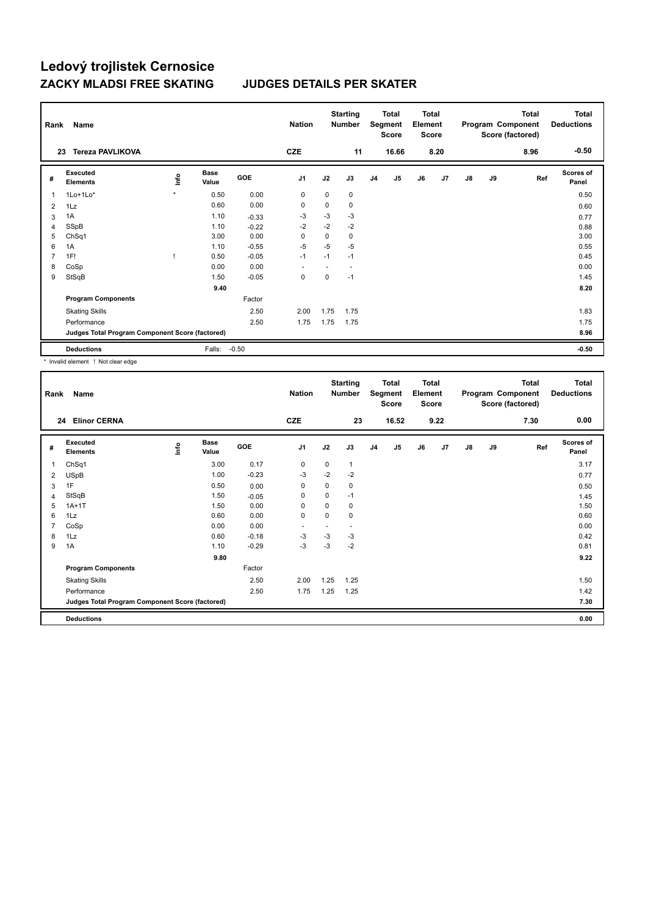| Rank           | <b>Name</b><br><b>Tereza PAVLIKOVA</b><br>23    |         |                      |            | <b>Nation</b><br><b>CZE</b> |      | <b>Starting</b><br><b>Number</b><br>11 |                | <b>Total</b><br>Segment<br><b>Score</b><br>16.66 | <b>Total</b><br>Element<br><b>Score</b> | 8.20 |               |    | Total<br>Program Component<br>Score (factored)<br>8.96 | <b>Total</b><br><b>Deductions</b><br>$-0.50$ |
|----------------|-------------------------------------------------|---------|----------------------|------------|-----------------------------|------|----------------------------------------|----------------|--------------------------------------------------|-----------------------------------------|------|---------------|----|--------------------------------------------------------|----------------------------------------------|
|                |                                                 |         |                      |            |                             |      |                                        |                |                                                  |                                         |      |               |    |                                                        |                                              |
| #              | Executed<br><b>Elements</b>                     | lnfo    | <b>Base</b><br>Value | <b>GOE</b> | J <sub>1</sub>              | J2   | J3                                     | J <sub>4</sub> | J5                                               | J6                                      | J7   | $\mathsf{J}8$ | J9 | Ref                                                    | <b>Scores of</b><br>Panel                    |
| 1              | 1Lo+1Lo*                                        | $\star$ | 0.50                 | 0.00       | 0                           | 0    | 0                                      |                |                                                  |                                         |      |               |    |                                                        | 0.50                                         |
| 2              | 1Lz                                             |         | 0.60                 | 0.00       | 0                           | 0    | 0                                      |                |                                                  |                                         |      |               |    |                                                        | 0.60                                         |
| 3              | 1A                                              |         | 1.10                 | $-0.33$    | $-3$                        | $-3$ | $-3$                                   |                |                                                  |                                         |      |               |    |                                                        | 0.77                                         |
| 4              | SSpB                                            |         | 1.10                 | $-0.22$    | $-2$                        | $-2$ | $-2$                                   |                |                                                  |                                         |      |               |    |                                                        | 0.88                                         |
| 5              | ChSq1                                           |         | 3.00                 | 0.00       | 0                           | 0    | 0                                      |                |                                                  |                                         |      |               |    |                                                        | 3.00                                         |
| 6              | 1A                                              |         | 1.10                 | $-0.55$    | $-5$                        | $-5$ | $-5$                                   |                |                                                  |                                         |      |               |    |                                                        | 0.55                                         |
| $\overline{7}$ | 1F!                                             |         | 0.50                 | $-0.05$    | $-1$                        | $-1$ | $-1$                                   |                |                                                  |                                         |      |               |    |                                                        | 0.45                                         |
| 8              | CoSp                                            |         | 0.00                 | 0.00       |                             |      |                                        |                |                                                  |                                         |      |               |    |                                                        | 0.00                                         |
| 9              | StSqB                                           |         | 1.50                 | $-0.05$    | 0                           | 0    | $-1$                                   |                |                                                  |                                         |      |               |    |                                                        | 1.45                                         |
|                |                                                 |         | 9.40                 |            |                             |      |                                        |                |                                                  |                                         |      |               |    |                                                        | 8.20                                         |
|                | <b>Program Components</b>                       |         |                      | Factor     |                             |      |                                        |                |                                                  |                                         |      |               |    |                                                        |                                              |
|                | <b>Skating Skills</b>                           |         |                      | 2.50       | 2.00                        | 1.75 | 1.75                                   |                |                                                  |                                         |      |               |    |                                                        | 1.83                                         |
|                | Performance                                     |         |                      | 2.50       | 1.75                        | 1.75 | 1.75                                   |                |                                                  |                                         |      |               |    |                                                        | 1.75                                         |
|                | Judges Total Program Component Score (factored) |         |                      |            |                             |      |                                        |                |                                                  |                                         |      |               |    |                                                        | 8.96                                         |
|                | <b>Deductions</b>                               |         | Falls:               | $-0.50$    |                             |      |                                        |                |                                                  |                                         |      |               |    |                                                        | $-0.50$                                      |

\* Invalid element ! Not clear edge

| Rank           | Name                                            |      |                      |         | <b>Nation</b>  |      | <b>Starting</b><br>Number |                | <b>Total</b><br>Segment<br><b>Score</b> | <b>Total</b><br>Element<br><b>Score</b> |      |               |    | <b>Total</b><br>Program Component<br>Score (factored) | <b>Total</b><br><b>Deductions</b> |
|----------------|-------------------------------------------------|------|----------------------|---------|----------------|------|---------------------------|----------------|-----------------------------------------|-----------------------------------------|------|---------------|----|-------------------------------------------------------|-----------------------------------|
| 24             | <b>Elinor CERNA</b>                             |      |                      |         | <b>CZE</b>     |      | 23                        |                | 16.52                                   |                                         | 9.22 |               |    | 7.30                                                  | 0.00                              |
| #              | Executed<br><b>Elements</b>                     | lnfo | <b>Base</b><br>Value | GOE     | J <sub>1</sub> | J2   | J3                        | J <sub>4</sub> | J5                                      | J6                                      | J7   | $\mathsf{J}8$ | J9 | Ref                                                   | <b>Scores of</b><br>Panel         |
| 1              | ChSq1                                           |      | 3.00                 | 0.17    | 0              | 0    | 1                         |                |                                         |                                         |      |               |    |                                                       | 3.17                              |
| 2              | <b>USpB</b>                                     |      | 1.00                 | $-0.23$ | -3             | $-2$ | $-2$                      |                |                                         |                                         |      |               |    |                                                       | 0.77                              |
| 3              | 1F                                              |      | 0.50                 | 0.00    | 0              | 0    | 0                         |                |                                         |                                         |      |               |    |                                                       | 0.50                              |
| $\overline{4}$ | StSqB                                           |      | 1.50                 | $-0.05$ | 0              | 0    | $-1$                      |                |                                         |                                         |      |               |    |                                                       | 1.45                              |
| 5              | $1A+1T$                                         |      | 1.50                 | 0.00    | 0              | 0    | 0                         |                |                                         |                                         |      |               |    |                                                       | 1.50                              |
| 6              | 1Lz                                             |      | 0.60                 | 0.00    | $\pmb{0}$      | 0    | 0                         |                |                                         |                                         |      |               |    |                                                       | 0.60                              |
| 7              | CoSp                                            |      | 0.00                 | 0.00    | $\overline{a}$ |      | ٠                         |                |                                         |                                         |      |               |    |                                                       | 0.00                              |
| 8              | 1Lz                                             |      | 0.60                 | $-0.18$ | -3             | $-3$ | -3                        |                |                                         |                                         |      |               |    |                                                       | 0.42                              |
| 9              | 1A                                              |      | 1.10                 | $-0.29$ | $-3$           | $-3$ | $-2$                      |                |                                         |                                         |      |               |    |                                                       | 0.81                              |
|                |                                                 |      | 9.80                 |         |                |      |                           |                |                                         |                                         |      |               |    |                                                       | 9.22                              |
|                | <b>Program Components</b>                       |      |                      | Factor  |                |      |                           |                |                                         |                                         |      |               |    |                                                       |                                   |
|                | <b>Skating Skills</b>                           |      |                      | 2.50    | 2.00           | 1.25 | 1.25                      |                |                                         |                                         |      |               |    |                                                       | 1.50                              |
|                | Performance                                     |      |                      | 2.50    | 1.75           | 1.25 | 1.25                      |                |                                         |                                         |      |               |    |                                                       | 1.42                              |
|                | Judges Total Program Component Score (factored) |      |                      |         |                |      |                           |                |                                         |                                         |      |               |    |                                                       | 7.30                              |
|                | <b>Deductions</b>                               |      |                      |         |                |      |                           |                |                                         |                                         |      |               |    |                                                       | 0.00                              |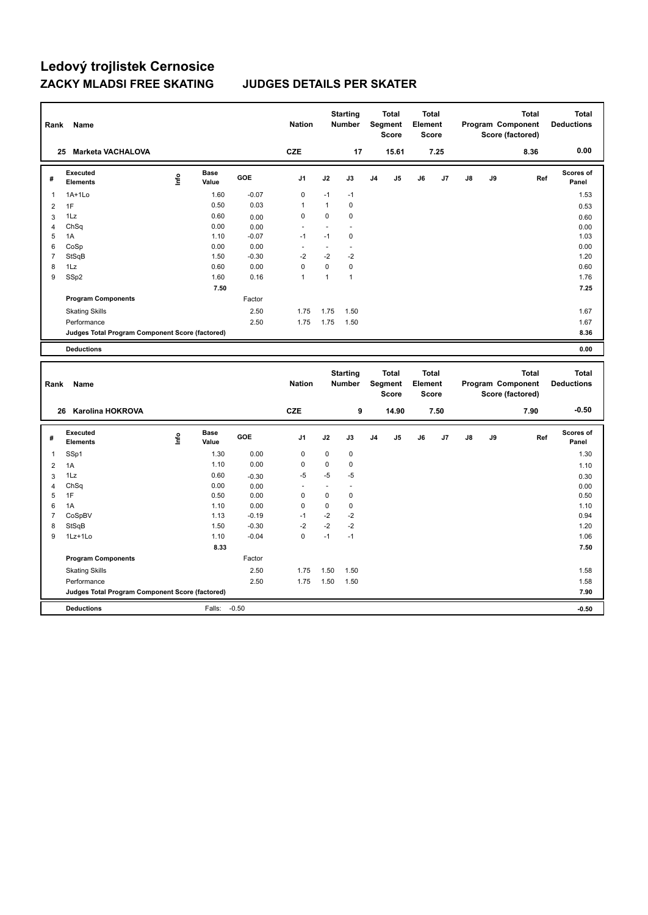| Rank           | Name                                            |      |                      |         | <b>Nation</b>        |                | <b>Starting</b><br>Number |                | Total<br>Segment<br><b>Score</b> | <b>Total</b><br>Element | <b>Score</b> |    |    | <b>Total</b><br>Program Component<br>Score (factored) | <b>Total</b><br><b>Deductions</b> |
|----------------|-------------------------------------------------|------|----------------------|---------|----------------------|----------------|---------------------------|----------------|----------------------------------|-------------------------|--------------|----|----|-------------------------------------------------------|-----------------------------------|
|                | 25 Marketa VACHALOVA                            |      |                      |         | <b>CZE</b>           |                | 17                        |                | 15.61                            |                         | 7.25         |    |    | 8.36                                                  | 0.00                              |
| #              | Executed<br><b>Elements</b>                     | lnfo | <b>Base</b><br>Value | GOE     | J1                   | J2             | J3                        | J <sub>4</sub> | J5                               | J6                      | J7           | J8 | J9 | Ref                                                   | Scores of<br>Panel                |
| 1              | 1A+1Lo                                          |      | 1.60                 | $-0.07$ | $\mathbf 0$          | $-1$           | $-1$                      |                |                                  |                         |              |    |    |                                                       | 1.53                              |
| $\overline{2}$ | 1F                                              |      | 0.50                 | 0.03    | $\mathbf{1}$         | $\mathbf{1}$   | $\mathbf 0$               |                |                                  |                         |              |    |    |                                                       | 0.53                              |
| 3              | 1Lz                                             |      | 0.60                 | 0.00    | $\mathbf 0$          | $\mathbf 0$    | $\mathbf 0$               |                |                                  |                         |              |    |    |                                                       | 0.60                              |
| $\overline{4}$ | ChSq                                            |      | 0.00                 | 0.00    |                      | $\blacksquare$ | $\blacksquare$            |                |                                  |                         |              |    |    |                                                       | 0.00                              |
| 5              | 1A                                              |      | 1.10                 | $-0.07$ | $-1$                 | $-1$           | $\mathbf 0$               |                |                                  |                         |              |    |    |                                                       | 1.03                              |
| 6              | CoSp                                            |      | 0.00                 | 0.00    | ä,                   | ä,             | $\overline{\phantom{a}}$  |                |                                  |                         |              |    |    |                                                       | 0.00                              |
| $\overline{7}$ | StSqB                                           |      | 1.50                 | $-0.30$ | $-2$                 | $-2$           | $-2$                      |                |                                  |                         |              |    |    |                                                       | 1.20                              |
| 8              | 1Lz                                             |      | 0.60                 | 0.00    | $\mathbf 0$          | $\mathbf 0$    | $\pmb{0}$                 |                |                                  |                         |              |    |    |                                                       | 0.60                              |
| 9              | SSp2                                            |      | 1.60                 | 0.16    | $\mathbf{1}$         | $\mathbf{1}$   | $\mathbf{1}$              |                |                                  |                         |              |    |    |                                                       | 1.76                              |
|                |                                                 |      | 7.50                 |         |                      |                |                           |                |                                  |                         |              |    |    |                                                       | 7.25                              |
|                | <b>Program Components</b>                       |      |                      | Factor  |                      |                |                           |                |                                  |                         |              |    |    |                                                       |                                   |
|                | <b>Skating Skills</b>                           |      |                      | 2.50    | 1.75                 | 1.75           | 1.50                      |                |                                  |                         |              |    |    |                                                       | 1.67                              |
|                | Performance                                     |      |                      | 2.50    | 1.75                 | 1.75           | 1.50                      |                |                                  |                         |              |    |    |                                                       | 1.67                              |
|                | Judges Total Program Component Score (factored) |      |                      |         |                      |                |                           |                |                                  |                         |              |    |    |                                                       | 8.36                              |
|                | <b>Deductions</b>                               |      |                      |         |                      |                |                           |                |                                  |                         |              |    |    |                                                       | 0.00                              |
| Rank           |                                                 |      |                      |         |                      |                | <b>Starting</b>           |                | <b>Total</b>                     | <b>Total</b>            |              |    |    | <b>Total</b>                                          | <b>Total</b>                      |
|                | Name                                            |      |                      |         | <b>Nation</b>        |                | Number                    |                | Segment<br>Score                 | Element                 | Score        |    |    | Program Component<br>Score (factored)                 | <b>Deductions</b>                 |
|                | Karolina HOKROVA<br>26                          |      |                      |         | <b>CZE</b>           |                | 9                         |                | 14.90                            |                         | 7.50         |    |    | 7.90                                                  | $-0.50$                           |
| #              | Executed<br><b>Elements</b>                     | Life | <b>Base</b><br>Value | GOE     | J1                   | J2             | J3                        | J <sub>4</sub> | J5                               | J6                      | J7           | J8 | J9 | Ref                                                   | Scores of<br>Panel                |
| $\mathbf{1}$   | SSp1                                            |      | 1.30                 | 0.00    | $\mathbf 0$          | 0              | $\pmb{0}$                 |                |                                  |                         |              |    |    |                                                       | 1.30                              |
| $\overline{2}$ | 1A                                              |      | 1.10                 | 0.00    | $\mathbf 0$          | $\mathbf 0$    | $\pmb{0}$                 |                |                                  |                         |              |    |    |                                                       | 1.10                              |
| 3              | 1Lz                                             |      | 0.60                 | $-0.30$ | -5                   | -5             | $-5$                      |                |                                  |                         |              |    |    |                                                       | 0.30                              |
| $\overline{4}$ | ChSq                                            |      | 0.00                 | 0.00    | $\ddot{\phantom{1}}$ | ä,             | ä,                        |                |                                  |                         |              |    |    |                                                       | 0.00                              |
| 5              | 1F                                              |      | 0.50                 | 0.00    | $\mathbf 0$          | $\mathbf 0$    | $\pmb{0}$                 |                |                                  |                         |              |    |    |                                                       | 0.50                              |
| 6              | 1A                                              |      | 1.10                 | 0.00    | $\Omega$             | $\mathbf 0$    | $\pmb{0}$                 |                |                                  |                         |              |    |    |                                                       | 1.10                              |
| $\overline{7}$ | CoSpBV                                          |      | 1.13                 | $-0.19$ | $-1$                 | $-2$           | $-2$                      |                |                                  |                         |              |    |    |                                                       | 0.94                              |
| 8              | StSqB                                           |      | 1.50                 | $-0.30$ | $-2$                 | $-2$           | $-2$                      |                |                                  |                         |              |    |    |                                                       | 1.20                              |
| 9              | 1Lz+1Lo                                         |      | 1.10                 | $-0.04$ | $\mathbf 0$          | $-1$           | $-1$                      |                |                                  |                         |              |    |    |                                                       | 1.06                              |
|                |                                                 |      | 8.33                 |         |                      |                |                           |                |                                  |                         |              |    |    |                                                       | 7.50                              |
|                | <b>Program Components</b>                       |      |                      | Factor  |                      |                |                           |                |                                  |                         |              |    |    |                                                       |                                   |
|                | <b>Skating Skills</b>                           |      |                      | 2.50    | 1.75                 | 1.50           | 1.50                      |                |                                  |                         |              |    |    |                                                       | 1.58                              |
|                | Performance                                     |      |                      | 2.50    | 1.75                 | 1.50           | 1.50                      |                |                                  |                         |              |    |    |                                                       | 1.58                              |
|                | Judges Total Program Component Score (factored) |      |                      |         |                      |                |                           |                |                                  |                         |              |    |    |                                                       | 7.90                              |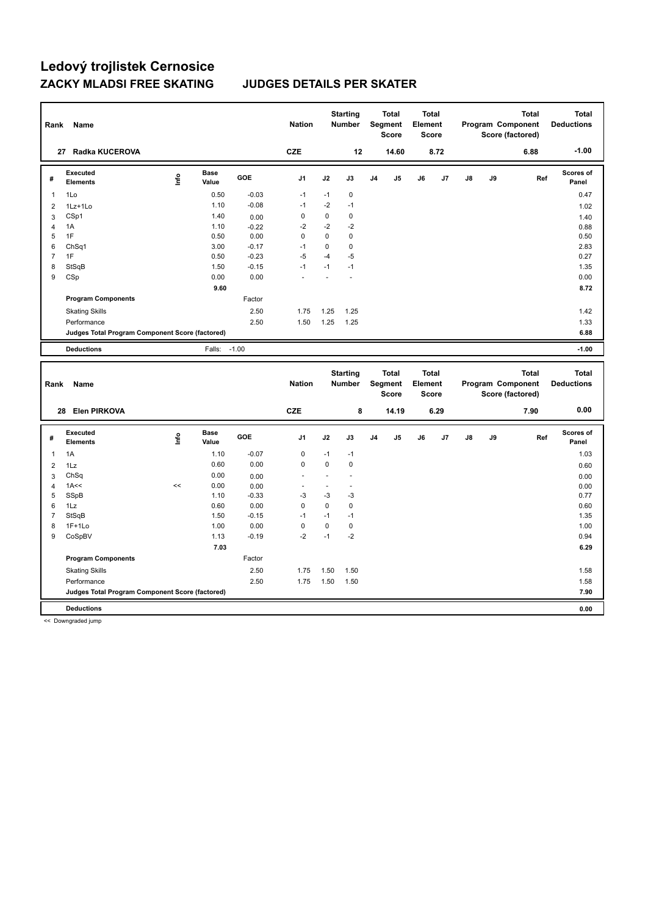| Rank           | Name                                                   |      |                      |         | <b>Nation</b>        |                          | <b>Starting</b><br><b>Number</b> |                | <b>Total</b><br>Segment<br><b>Score</b> | <b>Total</b><br>Element<br><b>Score</b> |      |    |    | <b>Total</b><br>Program Component<br>Score (factored) | <b>Total</b><br><b>Deductions</b> |
|----------------|--------------------------------------------------------|------|----------------------|---------|----------------------|--------------------------|----------------------------------|----------------|-----------------------------------------|-----------------------------------------|------|----|----|-------------------------------------------------------|-----------------------------------|
|                | 27 Radka KUCEROVA                                      |      |                      |         | <b>CZE</b>           |                          | 12                               |                | 14.60                                   |                                         | 8.72 |    |    | 6.88                                                  | $-1.00$                           |
| #              | <b>Executed</b><br><b>Elements</b>                     | Lnfo | <b>Base</b><br>Value | GOE     | J1                   | J2                       | J3                               | J <sub>4</sub> | J5                                      | J6                                      | J7   | J8 | J9 | Ref                                                   | <b>Scores of</b><br>Panel         |
| -1             | 1Lo                                                    |      | 0.50                 | $-0.03$ | $-1$                 | $-1$                     | $\pmb{0}$                        |                |                                         |                                         |      |    |    |                                                       | 0.47                              |
| $\overline{2}$ | 1Lz+1Lo                                                |      | 1.10                 | $-0.08$ | $-1$                 | $-2$                     | $-1$                             |                |                                         |                                         |      |    |    |                                                       | 1.02                              |
| 3              | CSp1                                                   |      | 1.40                 | 0.00    | $\mathbf 0$          | $\pmb{0}$                | $\pmb{0}$                        |                |                                         |                                         |      |    |    |                                                       | 1.40                              |
| $\overline{4}$ | 1A                                                     |      | 1.10                 | $-0.22$ | $-2$                 | $-2$                     | $-2$                             |                |                                         |                                         |      |    |    |                                                       | 0.88                              |
| 5              | 1F                                                     |      | 0.50                 | 0.00    | 0                    | $\pmb{0}$                | $\pmb{0}$                        |                |                                         |                                         |      |    |    |                                                       | 0.50                              |
| 6              | Ch <sub>Sq1</sub>                                      |      | 3.00                 | $-0.17$ | $-1$                 | 0                        | 0                                |                |                                         |                                         |      |    |    |                                                       | 2.83                              |
| $\overline{7}$ | 1F                                                     |      | 0.50                 | $-0.23$ | $-5$                 | $-4$                     | $-5$                             |                |                                         |                                         |      |    |    |                                                       | 0.27                              |
| 8              | StSqB                                                  |      | 1.50                 | $-0.15$ | $-1$                 | $-1$                     | $-1$                             |                |                                         |                                         |      |    |    |                                                       | 1.35                              |
| 9              | CSp                                                    |      | 0.00                 | 0.00    |                      |                          | Ĭ.                               |                |                                         |                                         |      |    |    |                                                       | 0.00                              |
|                |                                                        |      | 9.60                 |         |                      |                          |                                  |                |                                         |                                         |      |    |    |                                                       | 8.72                              |
|                | <b>Program Components</b>                              |      |                      | Factor  |                      |                          |                                  |                |                                         |                                         |      |    |    |                                                       |                                   |
|                | <b>Skating Skills</b>                                  |      |                      | 2.50    | 1.75                 | 1.25                     | 1.25                             |                |                                         |                                         |      |    |    |                                                       | 1.42                              |
|                | Performance                                            |      |                      | 2.50    | 1.50                 | 1.25                     | 1.25                             |                |                                         |                                         |      |    |    |                                                       | 1.33                              |
|                | Judges Total Program Component Score (factored)        |      |                      |         |                      |                          |                                  |                |                                         |                                         |      |    |    |                                                       | 6.88                              |
|                | <b>Deductions</b>                                      |      | Falls:               | $-1.00$ |                      |                          |                                  |                |                                         |                                         |      |    |    |                                                       | $-1.00$                           |
|                |                                                        |      |                      |         |                      |                          |                                  |                |                                         |                                         |      |    |    |                                                       |                                   |
| Rank           | Name                                                   |      |                      |         | <b>Nation</b>        |                          | <b>Starting</b><br>Number        |                | <b>Total</b><br>Segment<br><b>Score</b> | <b>Total</b><br>Element<br><b>Score</b> |      |    |    | <b>Total</b><br>Program Component<br>Score (factored) | <b>Total</b><br><b>Deductions</b> |
|                | <b>Elen PIRKOVA</b><br>28                              |      |                      |         | <b>CZE</b>           |                          | 8                                |                | 14.19                                   |                                         | 6.29 |    |    | 7.90                                                  | 0.00                              |
| #              | <b>Executed</b><br><b>Elements</b>                     | Life | Base<br>Value        | GOE     | J <sub>1</sub>       | J2                       | J3                               | J <sub>4</sub> | J5                                      | J6                                      | J7   | J8 | J9 | Ref                                                   | <b>Scores of</b><br>Panel         |
| $\mathbf{1}$   | 1A                                                     |      | 1.10                 | $-0.07$ | $\mathbf 0$          | $-1$                     | -1                               |                |                                         |                                         |      |    |    |                                                       | 1.03                              |
| $\overline{2}$ | 1Lz                                                    |      | 0.60                 | 0.00    | $\mathbf 0$          | 0                        | $\pmb{0}$                        |                |                                         |                                         |      |    |    |                                                       | 0.60                              |
| 3              | ChSq                                                   |      | 0.00                 | 0.00    |                      | ÷,                       | ä,                               |                |                                         |                                         |      |    |    |                                                       | 0.00                              |
| $\overline{4}$ | 1A<<                                                   | <<   | 0.00                 | 0.00    | $\ddot{\phantom{1}}$ | $\overline{\phantom{a}}$ | $\overline{a}$                   |                |                                         |                                         |      |    |    |                                                       | 0.00                              |
| 5              | SSpB                                                   |      | 1.10                 | $-0.33$ | $-3$                 | $-3$                     | $-3$                             |                |                                         |                                         |      |    |    |                                                       | 0.77                              |
| 6              | 1Lz                                                    |      | 0.60                 | 0.00    | $\mathbf 0$          | $\mathbf 0$              | $\pmb{0}$                        |                |                                         |                                         |      |    |    |                                                       | 0.60                              |
| $\overline{7}$ | StSqB                                                  |      | 1.50                 | $-0.15$ | $-1$                 | $-1$                     | $-1$                             |                |                                         |                                         |      |    |    |                                                       | 1.35                              |
| 8              | $1F+1Lo$                                               |      | 1.00                 | 0.00    | $\mathbf 0$          | $\pmb{0}$                | $\pmb{0}$                        |                |                                         |                                         |      |    |    |                                                       | 1.00                              |
| 9              | CoSpBV                                                 |      | 1.13                 | $-0.19$ | $-2$                 | $-1$                     | $-2$                             |                |                                         |                                         |      |    |    |                                                       | 0.94                              |
|                |                                                        |      | 7.03                 |         |                      |                          |                                  |                |                                         |                                         |      |    |    |                                                       | 6.29                              |
|                | <b>Program Components</b>                              |      |                      | Factor  |                      |                          |                                  |                |                                         |                                         |      |    |    |                                                       |                                   |
|                | <b>Skating Skills</b>                                  |      |                      | 2.50    | 1.75                 | 1.50                     | 1.50                             |                |                                         |                                         |      |    |    |                                                       | 1.58                              |
|                | Performance                                            |      |                      | 2.50    | 1.75                 | 1.50                     | 1.50                             |                |                                         |                                         |      |    |    |                                                       | 1.58                              |
|                | <b>Judges Total Program Component Score (factored)</b> |      |                      |         |                      |                          |                                  |                |                                         |                                         |      |    |    |                                                       | 7.90                              |

<< Downgraded jump